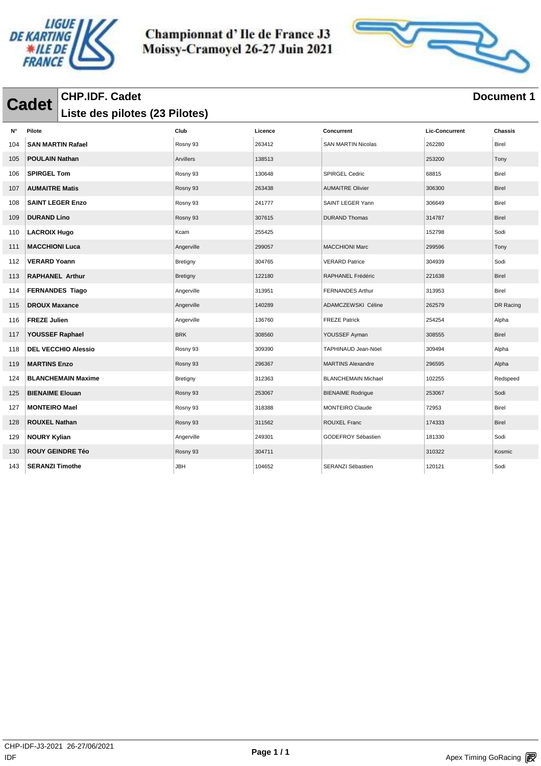



#### **Cadet** CHP.IDF. Cadet<br> **Cadet** I is to design that (23 Bilotos) **Liste des pilotes (23 Pilotes)**

| N°  | Pilote                     | Club       | Licence | Concurrent                 | <b>Lic-Concurrent</b> | Chassis      |
|-----|----------------------------|------------|---------|----------------------------|-----------------------|--------------|
| 104 | <b>SAN MARTIN Rafael</b>   | Rosny 93   | 263412  | <b>SAN MARTIN Nicolas</b>  | 262280                | <b>Birel</b> |
| 105 | <b>POULAIN Nathan</b>      | Arvillers  | 138513  |                            | 253200                | Tony         |
| 106 | <b>SPIRGEL Tom</b>         | Rosny 93   | 130648  | <b>SPIRGEL Cedric</b>      | 68815                 | <b>Birel</b> |
| 107 | <b>AUMAITRE Matis</b>      | Rosny 93   | 263438  | <b>AUMAITRE Olivier</b>    | 306300                | <b>Birel</b> |
| 108 | <b>SAINT LEGER Enzo</b>    | Rosny 93   | 241777  | SAINT LEGER Yann           | 306649                | <b>Birel</b> |
| 109 | <b>DURAND Lino</b>         | Rosny 93   | 307615  | <b>DURAND Thomas</b>       | 314787                | <b>Birel</b> |
| 110 | <b>LACROIX Hugo</b>        | Kcam       | 255425  |                            | 152798                | Sodi         |
| 111 | <b>MACCHIONI Luca</b>      | Angerville | 299057  | <b>MACCHIONI Marc</b>      | 299596                | Tony         |
| 112 | <b>VERARD Yoann</b>        | Bretigny   | 304765  | <b>VERARD Patrice</b>      | 304939                | Sodi         |
| 113 | <b>RAPHANEL Arthur</b>     | Bretigny   | 122180  | RAPHANEL Frédéric          | 221638                | Birel        |
| 114 | <b>FERNANDES Tiago</b>     | Angerville | 313951  | <b>FERNANDES Arthur</b>    | 313953                | Birel        |
| 115 | <b>DROUX Maxance</b>       | Angerville | 140289  | ADAMCZEWSKI Céline         | 262579                | DR Racing    |
| 116 | <b>FREZE Julien</b>        | Angerville | 136760  | <b>FREZE Patrick</b>       | 254254                | Alpha        |
| 117 | YOUSSEF Raphael            | <b>BRK</b> | 308560  | YOUSSEF Ayman              | 308555                | Birel        |
| 118 | <b>DEL VECCHIO Alessio</b> | Rosny 93   | 309390  | TAPHINAUD Jean-Nöel        | 309494                | Alpha        |
| 119 | <b>MARTINS Enzo</b>        | Rosny 93   | 296367  | <b>MARTINS Alexandre</b>   | 296595                | Alpha        |
| 124 | <b>BLANCHEMAIN Maxime</b>  | Bretigny   | 312363  | <b>BLANCHEMAIN Michael</b> | 102255                | Redspeed     |
| 125 | <b>BIENAIME Elouan</b>     | Rosny 93   | 253067  | <b>BIENAIME Rodrigue</b>   | 253067                | Sodi         |
| 127 | <b>MONTEIRO Mael</b>       | Rosny 93   | 318388  | <b>MONTEIRO Claude</b>     | 72953                 | <b>Birel</b> |
| 128 | <b>ROUXEL Nathan</b>       | Rosny 93   | 311562  | <b>ROUXEL Franc</b>        | 174333                | <b>Birel</b> |
| 129 | <b>NOURY Kylian</b>        | Angerville | 249301  | GODEFROY Sébastien         | 181330                | Sodi         |
| 130 | <b>ROUY GEINDRE Téo</b>    | Rosny 93   | 304711  |                            | 310322                | Kosmic       |
| 143 | <b>SERANZI Timothe</b>     | <b>JBH</b> | 104652  | SERANZI Sébastien          | 120121                | Sodi         |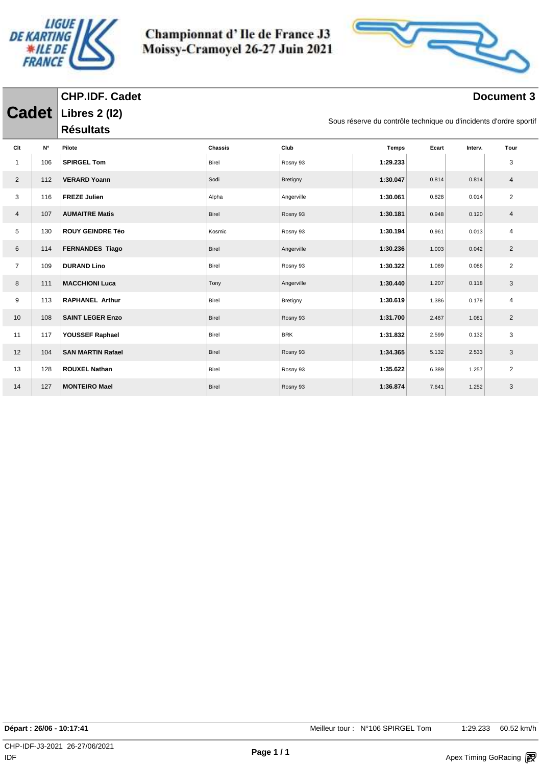

**CHP.IDF. Cadet**

Championnat d'Ile de France J3 Moissy-Cramoyel 26-27 Juin 2021



| <b>Cadet</b>   |                    | <b>Libres 2 (12)</b><br>Sous réserve du contrôle technique ou d'incidents d'ordre sportif |              |            |              |       |         |                |
|----------------|--------------------|-------------------------------------------------------------------------------------------|--------------|------------|--------------|-------|---------|----------------|
|                |                    | <b>Résultats</b>                                                                          |              |            |              |       |         |                |
| Clt            | $\mathsf{N}^\circ$ | Pilote                                                                                    | Chassis      | Club       | <b>Temps</b> | Ecart | Interv. | Tour           |
| $\mathbf{1}$   | 106                | <b>SPIRGEL Tom</b>                                                                        | Birel        | Rosny 93   | 1:29.233     |       |         | 3              |
| $\overline{2}$ | 112                | <b>VERARD Yoann</b>                                                                       | Sodi         | Bretigny   | 1:30.047     | 0.814 | 0.814   | $\overline{4}$ |
| 3              | 116                | <b>FREZE Julien</b>                                                                       | Alpha        | Angerville | 1:30.061     | 0.828 | 0.014   | $\overline{2}$ |
| $\overline{4}$ | 107                | <b>AUMAITRE Matis</b>                                                                     | Birel        | Rosny 93   | 1:30.181     | 0.948 | 0.120   | $\overline{4}$ |
| 5              | 130                | <b>ROUY GEINDRE Téo</b>                                                                   | Kosmic       | Rosny 93   | 1:30.194     | 0.961 | 0.013   | $\overline{4}$ |
| 6              | 114                | <b>FERNANDES Tiago</b>                                                                    | Birel        | Angerville | 1:30.236     | 1.003 | 0.042   | $\overline{2}$ |
| $\overline{7}$ | 109                | <b>DURAND Lino</b>                                                                        | Birel        | Rosny 93   | 1:30.322     | 1.089 | 0.086   | $\overline{2}$ |
| 8              | 111                | <b>MACCHIONI Luca</b>                                                                     | Tony         | Angerville | 1:30.440     | 1.207 | 0.118   | 3              |
| 9              | 113                | <b>RAPHANEL Arthur</b>                                                                    | Birel        | Bretigny   | 1:30.619     | 1.386 | 0.179   | $\overline{4}$ |
| 10             | 108                | <b>SAINT LEGER Enzo</b>                                                                   | Birel        | Rosny 93   | 1:31.700     | 2.467 | 1.081   | $\overline{2}$ |
| 11             | 117                | YOUSSEF Raphael                                                                           | Birel        | <b>BRK</b> | 1:31.832     | 2.599 | 0.132   | 3              |
| 12             | 104                | <b>SAN MARTIN Rafael</b>                                                                  | Birel        | Rosny 93   | 1:34.365     | 5.132 | 2.533   | 3              |
| 13             | 128                | <b>ROUXEL Nathan</b>                                                                      | Birel        | Rosny 93   | 1:35.622     | 6.389 | 1.257   | $\overline{2}$ |
| 14             | 127                | <b>MONTEIRO Mael</b>                                                                      | <b>Birel</b> | Rosny 93   | 1:36.874     | 7.641 | 1.252   | 3              |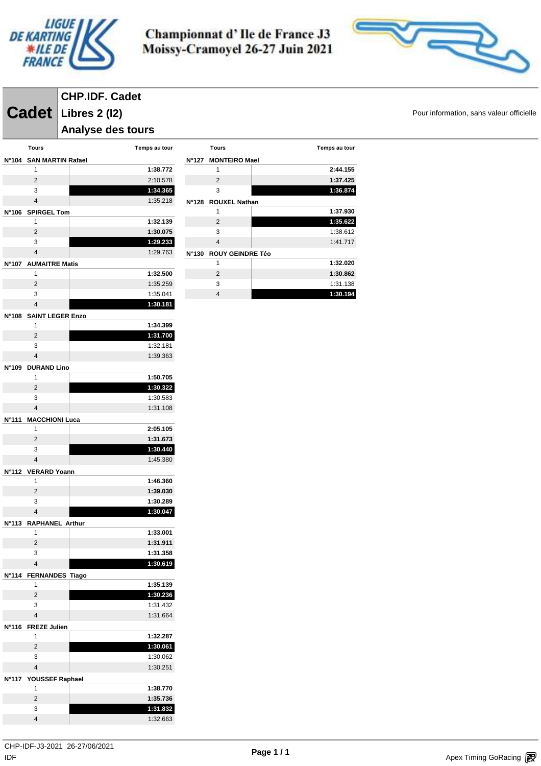



# **CHP.IDF. Cadet**

**Cadet** Libres 2 (12) **Cadet Libres 2 (12)** 

## **Analyse des tours**

|              | Tours                       | Temps au tour        |
|--------------|-----------------------------|----------------------|
|              | N°104 SAN MARTIN Rafael     |                      |
|              | 1                           | 1:38.772             |
|              | 2                           | 2:10.578             |
|              | 3                           | 1:34.365             |
|              | $\overline{\mathbf{4}}$     | 1:35.218             |
| N°106        | <b>SPIRGEL Tom</b>          |                      |
|              | 1                           | 1:32.139             |
|              | 2                           | 1:30.075             |
|              | 3                           | 1:29.233             |
|              | $\overline{4}$              | 1:29.763             |
| N°107        | <b>AUMAITRE Matis</b>       |                      |
|              | 1                           | 1:32.500             |
|              | 2                           | 1:35.259             |
|              | 3                           | 1:35.041             |
|              | $\overline{4}$              | 1:30.181             |
| N°108        | <b>SAINT LEGER Enzo</b>     |                      |
|              | 1                           | 1:34.399             |
|              | $\overline{2}$              | 1:31.700             |
|              | 3                           | 1:32.181             |
|              | $\overline{4}$              | 1:39.363             |
| N°109        | <b>DURAND Lino</b>          |                      |
|              | 1                           | 1:50.705             |
|              | 2                           | 1:30.322             |
|              | 3                           | 1:30.583             |
|              | $\overline{\mathbf{4}}$     | 1:31.108             |
| N°111        | <b>MACCHIONI Luca</b>       |                      |
|              | 1                           | 2:05.105             |
|              | 2                           | 1:31.673             |
|              | 3                           | 1:30.440             |
|              | $\overline{4}$              | 1:45.380             |
| N°112        | <b>VERARD Yoann</b>         |                      |
|              | 1                           | 1:46.360             |
|              | 2                           | 1:39.030             |
|              | 3                           | 1:30.289             |
|              | $\overline{4}$              | 1:30.047             |
| N°113        | <b>RAPHANEL Arthur</b>      |                      |
|              | 1                           | 1:33.001             |
|              | 2                           | 1:31.911             |
|              | 3<br>$\overline{4}$         | 1:31.358<br>1:30.619 |
|              |                             |                      |
| N°114        | <b>FERNANDES Tiago</b><br>1 |                      |
|              | $\overline{2}$              | 1:35.139<br>1:30.236 |
|              | 3                           | 1:31.432             |
|              | 4                           | 1:31.664             |
|              |                             |                      |
| N°116        | <b>FREZE Julien</b><br>1    | 1:32.287             |
|              | $\overline{2}$              | 1:30.061             |
|              | 3                           | 1:30.062             |
|              | $\overline{4}$              | 1:30.251             |
| <b>N°117</b> | YOUSSEF Raphael             |                      |
|              | 1                           | 1:38.770             |
|              | 2                           | 1:35.736             |
|              | 3                           | 1:31.832             |
|              | $\overline{4}$              | 1:32.663             |
|              |                             |                      |

| N°127           | <b>MONTEIRO Mael</b>    |          |
|-----------------|-------------------------|----------|
|                 | 1                       | 2:44.155 |
|                 | $\mathfrak{p}$          | 1:37.425 |
|                 | 3                       | 1:36.874 |
| $N^{\circ}128$  | <b>ROUXEL Nathan</b>    |          |
|                 | 1                       | 1:37.930 |
|                 | $\mathfrak{p}$          | 1:35.622 |
|                 | 3                       | 1:38.612 |
|                 | $\overline{4}$          | 1:41.717 |
| $N^{\circ}$ 130 | <b>ROUY GEINDRE Téo</b> |          |
|                 | 1                       | 1:32.020 |
|                 | $\mathfrak{p}$          | 1:30.862 |
|                 | 3                       | 1:31.138 |
|                 | 4                       | 1:30.194 |

**Tours Temps au tour**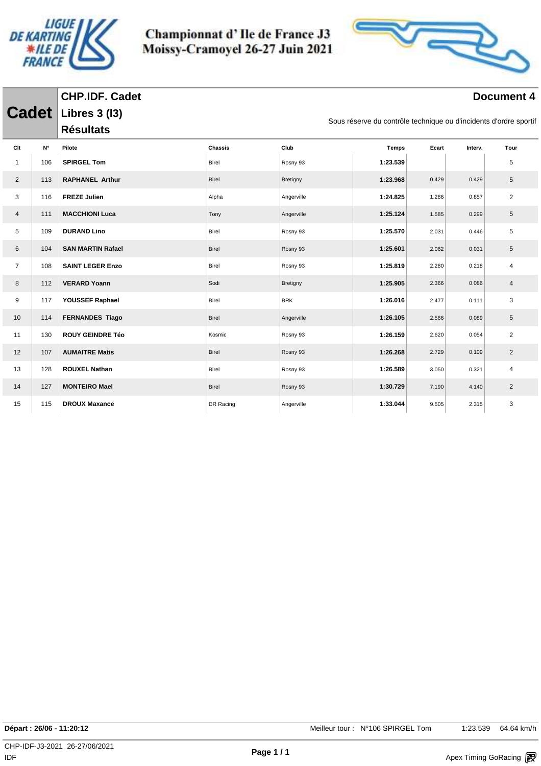

**CHP.IDF. Cadet**

Championnat d'Ile de France J3 Moissy-Cramoyel 26-27 Juin 2021



| <b>Cadet</b>   |                    | <b>Libres 3 (13)</b><br>Sous réserve du contrôle technique ou d'incidents d'ordre sportif |                |            |              |       |         |                |  |
|----------------|--------------------|-------------------------------------------------------------------------------------------|----------------|------------|--------------|-------|---------|----------------|--|
|                |                    | <b>Résultats</b>                                                                          |                |            |              |       |         |                |  |
| Clt            | $\mathsf{N}^\circ$ | Pilote                                                                                    | <b>Chassis</b> | Club       | <b>Temps</b> | Ecart | Interv. | Tour           |  |
| $\mathbf{1}$   | 106                | <b>SPIRGEL Tom</b>                                                                        | Birel          | Rosny 93   | 1:23.539     |       |         | 5              |  |
| $\overline{2}$ | 113                | <b>RAPHANEL Arthur</b>                                                                    | <b>Birel</b>   | Bretigny   | 1:23.968     | 0.429 | 0.429   | 5              |  |
| 3              | 116                | <b>FREZE Julien</b>                                                                       | Alpha          | Angerville | 1:24.825     | 1.286 | 0.857   | $\overline{2}$ |  |
| $\overline{4}$ | 111                | <b>MACCHIONI Luca</b>                                                                     | Tony           | Angerville | 1:25.124     | 1.585 | 0.299   | 5              |  |
| 5              | 109                | <b>DURAND Lino</b>                                                                        | Birel          | Rosny 93   | 1:25.570     | 2.031 | 0.446   | 5              |  |
| 6              | 104                | <b>SAN MARTIN Rafael</b>                                                                  | <b>Birel</b>   | Rosny 93   | 1:25.601     | 2.062 | 0.031   | 5              |  |
| $\overline{7}$ | 108                | <b>SAINT LEGER Enzo</b>                                                                   | Birel          | Rosny 93   | 1:25.819     | 2.280 | 0.218   | 4              |  |
| 8              | 112                | <b>VERARD Yoann</b>                                                                       | Sodi           | Bretigny   | 1:25.905     | 2.366 | 0.086   | $\overline{4}$ |  |
| 9              | 117                | YOUSSEF Raphael                                                                           | Birel          | <b>BRK</b> | 1:26.016     | 2.477 | 0.111   | 3              |  |
| 10             | 114                | <b>FERNANDES Tiago</b>                                                                    | <b>Birel</b>   | Angerville | 1:26.105     | 2.566 | 0.089   | 5              |  |
| 11             | 130                | <b>ROUY GEINDRE Téo</b>                                                                   | Kosmic         | Rosny 93   | 1:26.159     | 2.620 | 0.054   | 2              |  |
| 12             | 107                | <b>AUMAITRE Matis</b>                                                                     | <b>Birel</b>   | Rosny 93   | 1:26.268     | 2.729 | 0.109   | $\overline{2}$ |  |
| 13             | 128                | <b>ROUXEL Nathan</b>                                                                      | Birel          | Rosny 93   | 1:26.589     | 3.050 | 0.321   | $\overline{4}$ |  |
| 14             | 127                | <b>MONTEIRO Mael</b>                                                                      | <b>Birel</b>   | Rosny 93   | 1:30.729     | 7.190 | 4.140   | $\overline{2}$ |  |
| 15             | 115                | <b>DROUX Maxance</b>                                                                      | DR Racing      | Angerville | 1:33.044     | 9.505 | 2.315   | 3              |  |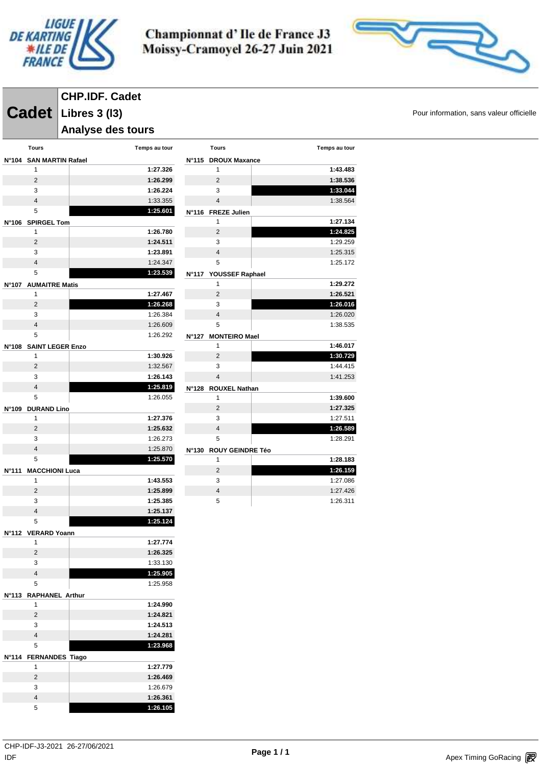



## **CHP.IDF. Cadet**

**Cadet** Libres 3 (13) **Cadet Libres 3 (13)** 

### **Analyse des tours**

|                 | <b>Tours</b>                 | Temps au tour        |
|-----------------|------------------------------|----------------------|
| $N^{\circ}104$  | <b>SAN MARTIN Rafael</b>     |                      |
|                 | 1                            | 1:27.326             |
|                 | 2                            | 1:26.299             |
|                 | 3                            | 1:26.224             |
|                 | $\overline{\mathbf{4}}$      | 1:33.355             |
|                 | 5                            | 1:25.601             |
| <b>N°106</b>    | <b>SPIRGEL Tom</b>           |                      |
|                 | 1                            | 1:26.780             |
|                 | $\overline{2}$               | 1:24.511             |
|                 | 3                            | 1:23.891             |
|                 | $\overline{4}$               | 1:24.347             |
|                 | 5                            | 1:23.539             |
| <b>N°107</b>    | <b>AUMAITRE Matis</b>        |                      |
|                 | 1                            | 1:27.467             |
|                 | 2                            | 1:26.268             |
|                 | 3                            | 1:26.384             |
|                 | $\overline{4}$               | 1:26.609             |
|                 | 5                            | 1:26.292             |
| <b>N°108</b>    | <b>SAINT LEGER Enzo</b>      |                      |
|                 | 1                            | 1:30.926             |
|                 | 2                            | 1:32.567             |
|                 | 3                            | 1:26.143             |
|                 | $\overline{4}$               | 1:25.819             |
|                 | 5                            | 1:26.055             |
| N°109           | <b>DURAND Lino</b>           |                      |
|                 | 1                            | 1:27.376             |
|                 | 2                            | 1:25.632             |
|                 | 3                            | 1:26.273             |
|                 | $\overline{4}$               | 1:25.870             |
|                 | 5                            | 1:25.570             |
| N°111           | <b>MACCHIONI Luca</b>        |                      |
|                 | 1                            | 1:43.553             |
|                 | $\overline{2}$               | 1:25.899             |
|                 | 3<br>$\overline{\mathbf{4}}$ | 1:25.385<br>1:25.137 |
|                 | 5                            | 1:25.124             |
|                 |                              |                      |
| $N^{\circ}$ 112 | <b>VERARD Yoann</b><br>1     | 1:27.774             |
|                 | 2                            | 1:26.325             |
|                 | 3                            | 1:33.130             |
|                 | $\overline{4}$               | 1:25.905             |
|                 | 5                            | 1:25.958             |
| <b>N°113</b>    | <b>RAPHANEL Arthur</b>       |                      |
|                 | 1                            | 1:24.990             |
|                 | $\overline{2}$               | 1:24.821             |
|                 | 3                            | 1:24.513             |
|                 | $\overline{4}$               | 1:24.281             |
|                 | 5                            | 1:23.968             |
| <b>N°114</b>    | <b>FERNANDES Tiago</b>       |                      |
|                 | 1                            | 1:27.779             |
|                 | 2                            | 1:26.469             |
|                 | 3                            | 1:26.679             |
|                 | $\overline{4}$               | 1:26.361             |
|                 | 5                            | 1:26.105             |

|              | <b>Tours</b>            | Temps au tour |
|--------------|-------------------------|---------------|
| N°115        | <b>DROUX Maxance</b>    |               |
|              | 1                       | 1:43.483      |
|              | $\overline{2}$          | 1:38.536      |
|              | 3                       | 1:33.044      |
|              | 4                       | 1:38.564      |
| N°116        | <b>FREZE Julien</b>     |               |
|              | 1                       | 1:27.134      |
|              | $\overline{2}$          | 1:24.825      |
|              | 3                       | 1:29.259      |
|              | $\overline{4}$          | 1:25.315      |
|              | 5                       | 1:25.172      |
| <b>N°117</b> | YOUSSEF Raphael         |               |
|              | 1                       | 1:29.272      |
|              | $\overline{2}$          | 1:26.521      |
|              | 3                       | 1:26.016      |
|              | $\overline{\mathbf{4}}$ | 1:26.020      |
|              | 5                       | 1:38.535      |
| N°127        | <b>MONTEIRO Mael</b>    |               |
|              | 1                       | 1:46.017      |
|              | $\overline{2}$          | 1:30.729      |
|              | 3                       | 1:44.415      |
|              | $\overline{4}$          | 1:41.253      |
| N°128        | <b>ROUXEL Nathan</b>    |               |
|              | 1                       | 1:39.600      |
|              | $\overline{2}$          | 1:27.325      |
|              | 3                       | 1:27.511      |
|              | 4                       | 1:26.589      |
|              | 5                       | 1:28.291      |
| N°130        | <b>ROUY GEINDRE Téo</b> |               |

|   | 1:28.183 |
|---|----------|
| 2 | 1:26.159 |
| 3 | 1:27.086 |
|   | 1:27.426 |
| 5 | 1:26.311 |
|   |          |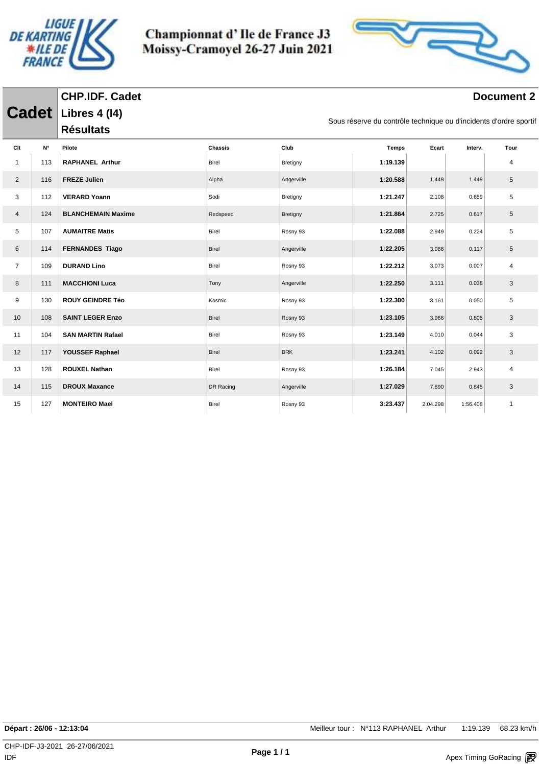

**CHP.IDF. Cadet**

Championnat d'Ile de France J3 Moissy-Cramoyel 26-27 Juin 2021



| <b>Cadet</b>   |     | <b>Libres 4 (14)</b><br>Sous réserve du contrôle technique ou d'incidents d'ordre sportif |                |            |              |          |          |                |  |
|----------------|-----|-------------------------------------------------------------------------------------------|----------------|------------|--------------|----------|----------|----------------|--|
|                |     | <b>Résultats</b>                                                                          |                |            |              |          |          |                |  |
| Clt            | N°  | Pilote                                                                                    | <b>Chassis</b> | Club       | <b>Temps</b> | Ecart    | Interv.  | Tour           |  |
| $\mathbf{1}$   | 113 | <b>RAPHANEL Arthur</b>                                                                    | Birel          | Bretigny   | 1:19.139     |          |          | 4              |  |
| $\overline{2}$ | 116 | <b>FREZE Julien</b>                                                                       | Alpha          | Angerville | 1:20.588     | 1.449    | 1.449    | 5              |  |
| 3              | 112 | <b>VERARD Yoann</b>                                                                       | Sodi           | Bretigny   | 1:21.247     | 2.108    | 0.659    | 5              |  |
| 4              | 124 | <b>BLANCHEMAIN Maxime</b>                                                                 | Redspeed       | Bretigny   | 1:21.864     | 2.725    | 0.617    | 5              |  |
| 5              | 107 | <b>AUMAITRE Matis</b>                                                                     | Birel          | Rosny 93   | 1:22.088     | 2.949    | 0.224    | 5              |  |
| 6              | 114 | <b>FERNANDES Tiago</b>                                                                    | Birel          | Angerville | 1:22.205     | 3.066    | 0.117    | 5              |  |
| $\overline{7}$ | 109 | <b>DURAND Lino</b>                                                                        | Birel          | Rosny 93   | 1:22.212     | 3.073    | 0.007    | $\overline{4}$ |  |
| 8              | 111 | <b>MACCHIONI Luca</b>                                                                     | Tony           | Angerville | 1:22.250     | 3.111    | 0.038    | 3              |  |
| 9              | 130 | <b>ROUY GEINDRE Téo</b>                                                                   | Kosmic         | Rosny 93   | 1:22.300     | 3.161    | 0.050    | 5              |  |
| 10             | 108 | <b>SAINT LEGER Enzo</b>                                                                   | Birel          | Rosny 93   | 1:23.105     | 3.966    | 0.805    | 3              |  |
| 11             | 104 | <b>SAN MARTIN Rafael</b>                                                                  | Birel          | Rosny 93   | 1:23.149     | 4.010    | 0.044    | 3              |  |
| 12             | 117 | YOUSSEF Raphael                                                                           | Birel          | <b>BRK</b> | 1:23.241     | 4.102    | 0.092    | 3              |  |
| 13             | 128 | <b>ROUXEL Nathan</b>                                                                      | Birel          | Rosny 93   | 1:26.184     | 7.045    | 2.943    | $\overline{4}$ |  |
| 14             | 115 | <b>DROUX Maxance</b>                                                                      | DR Racing      | Angerville | 1:27.029     | 7.890    | 0.845    | 3              |  |
| 15             | 127 | <b>MONTEIRO Mael</b>                                                                      | Birel          | Rosny 93   | 3:23.437     | 2:04.298 | 1:56.408 | $\mathbf{1}$   |  |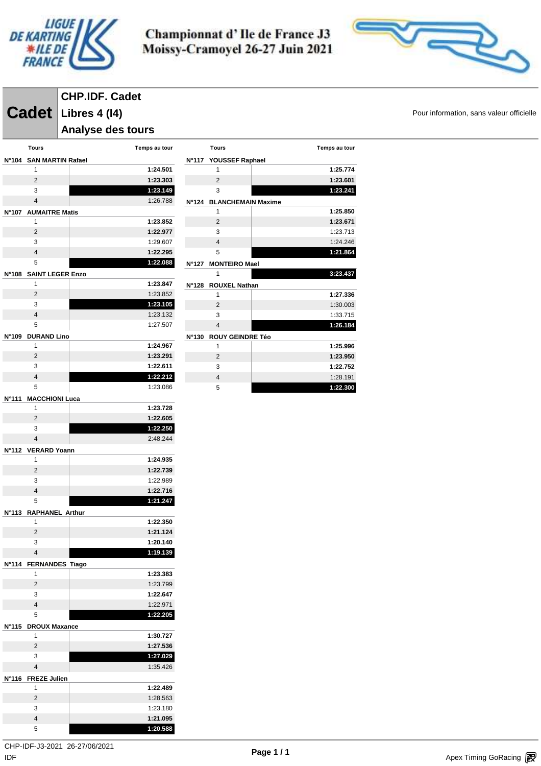



# **CHP.IDF. Cadet**

**Cadet** Libres 4 (14) **Cadet Libres 4 (14)** 

**Analyse des tours** 

|                 | <b>Tours</b>                | Temps au tour        |
|-----------------|-----------------------------|----------------------|
| N°104           | <b>SAN MARTIN Rafael</b>    |                      |
|                 | 1                           | 1:24.501             |
|                 | 2                           | 1:23.303             |
|                 | 3                           | 1:23.149             |
|                 | $\overline{\mathbf{4}}$     | 1:26.788             |
|                 | N°107 AUMAITRE Matis        |                      |
|                 | 1                           | 1:23.852             |
|                 | 2                           | 1:22.977             |
|                 | 3                           | 1:29.607             |
|                 | $\overline{\mathbf{4}}$     | 1:22.295             |
|                 | 5                           | 1:22.088             |
| N°108           | <b>SAINT LEGER Enzo</b>     |                      |
|                 | 1                           | 1:23.847             |
|                 | 2                           | 1:23.852             |
|                 | 3                           | 1:23.105             |
|                 | $\overline{\mathbf{4}}$     | 1:23.132             |
|                 | 5                           | 1:27.507             |
| N°109           | <b>DURAND Lino</b>          |                      |
|                 | 1                           | 1:24.967             |
|                 | 2                           | 1:23.291             |
|                 | 3                           | 1:22.611             |
|                 | $\overline{\mathbf{4}}$     | 1:22.212             |
|                 | 5                           | 1:23.086             |
| N°111           | <b>MACCHIONI Luca</b>       |                      |
|                 | 1                           | 1:23.728             |
|                 | 2                           | 1:22.605             |
|                 | 3                           | 1:22.250             |
|                 | $\overline{\mathbf{4}}$     | 2:48.244             |
| N°112           | <b>VERARD Yoann</b>         |                      |
|                 | 1                           | 1:24.935             |
|                 | 2                           | 1:22.739             |
|                 | 3<br>$\overline{4}$         | 1:22.989<br>1:22.716 |
|                 | 5                           | 1:21.247             |
|                 |                             |                      |
| $N^{\circ}$ 113 | <b>RAPHANEL Arthur</b><br>1 | 1:22.350             |
|                 | 2                           | 1:21.124             |
|                 | 3                           | 1:20.140             |
|                 | $\overline{4}$              | 1:19.139             |
|                 |                             |                      |
| N°114           | <b>FERNANDES Tiago</b><br>1 | 1:23.383             |
|                 | 2                           | 1:23.799             |
|                 | 3                           | 1:22.647             |
|                 | $\overline{4}$              | 1:22.971             |
|                 | 5                           | 1:22.205             |
| N°115           | <b>DROUX Maxance</b>        |                      |
|                 | 1                           | 1:30.727             |
|                 | 2                           | 1:27.536             |
|                 | 3                           | 1:27.029             |
|                 | $\overline{\mathbf{4}}$     | 1:35.426             |
| N°116           | <b>FREZE Julien</b>         |                      |
|                 | 1                           | 1:22.489             |
|                 | 2                           | 1:28.563             |
|                 | 3                           | 1:23.180             |
|                 | 4                           | 1:21.095             |
|                 | 5                           | 1:20.588             |

|       | <b>Tours</b>             | Temps au tour |
|-------|--------------------------|---------------|
|       | N°117 YOUSSEF Raphael    |               |
|       | 1                        | 1:25.774      |
|       | $\overline{2}$           | 1:23.601      |
|       | 3                        | 1:23.241      |
|       | N°124 BLANCHEMAIN Maxime |               |
|       | 1                        | 1:25.850      |
|       | $\overline{2}$           | 1:23.671      |
|       | 3                        | 1:23.713      |
|       | $\overline{4}$           | 1:24.246      |
|       | 5                        | 1:21.864      |
| N°127 | <b>MONTEIRO Mael</b>     |               |
|       | 1                        | 3:23.437      |
| N°128 | <b>ROUXEL Nathan</b>     |               |
|       | 1                        | 1:27.336      |
|       | $\overline{2}$           | 1:30.003      |
|       | 3                        | 1:33.715      |
|       | $\overline{4}$           | 1:26.184      |
| N°130 | <b>ROUY GEINDRE Téo</b>  |               |
|       | 1                        | 1:25.996      |
|       | $\overline{2}$           | 1:23.950      |
|       | 3                        | 1:22.752      |
|       | $\overline{4}$           | 1:28.191      |

**1:22.300**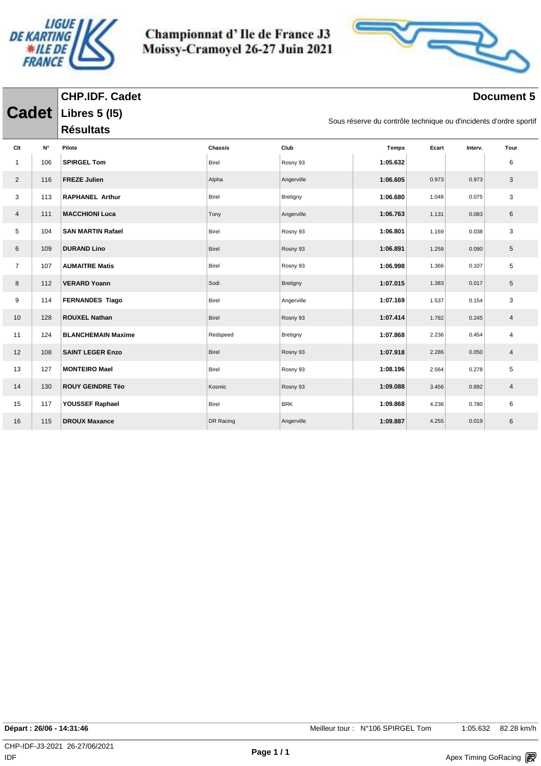

**CHP.IDF. Cadet**

Championnat d'Ile de France J3 Moissy-Cramoyel 26-27 Juin 2021



| <b>Cadet</b>   |             | Libres 5 (15)             |                | Sous réserve du contrôle technique ou d'incidents d'ordre sportif |              |       |         |                |
|----------------|-------------|---------------------------|----------------|-------------------------------------------------------------------|--------------|-------|---------|----------------|
|                |             | <b>Résultats</b>          |                |                                                                   |              |       |         |                |
| Clt            | $N^{\circ}$ | Pilote                    | <b>Chassis</b> | Club                                                              | <b>Temps</b> | Ecart | Interv. | Tour           |
| $\mathbf{1}$   | 106         | <b>SPIRGEL Tom</b>        | <b>Birel</b>   | Rosny 93                                                          | 1:05.632     |       |         | 6              |
| $\overline{2}$ | 116         | <b>FREZE Julien</b>       | Alpha          | Angerville                                                        | 1:06.605     | 0.973 | 0.973   | 3              |
| 3              | 113         | <b>RAPHANEL Arthur</b>    | Birel          | Bretigny                                                          | 1:06.680     | 1.048 | 0.075   | 3              |
| $\overline{4}$ | 111         | <b>MACCHIONI Luca</b>     | Tony           | Angerville                                                        | 1:06.763     | 1.131 | 0.083   | 6              |
| 5              | 104         | <b>SAN MARTIN Rafael</b>  | Birel          | Rosny 93                                                          | 1:06.801     | 1.169 | 0.038   | 3              |
| 6              | 109         | <b>DURAND Lino</b>        | <b>Birel</b>   | Rosny 93                                                          | 1:06.891     | 1.259 | 0.090   | 5              |
| $\overline{7}$ | 107         | <b>AUMAITRE Matis</b>     | Birel          | Rosny 93                                                          | 1:06.998     | 1.366 | 0.107   | 5              |
| 8              | 112         | <b>VERARD Yoann</b>       | Sodi           | Bretigny                                                          | 1:07.015     | 1.383 | 0.017   | 5              |
| 9              | 114         | <b>FERNANDES Tiago</b>    | Birel          | Angerville                                                        | 1:07.169     | 1.537 | 0.154   | 3              |
| 10             | 128         | <b>ROUXEL Nathan</b>      | <b>Birel</b>   | Rosny 93                                                          | 1:07.414     | 1.782 | 0.245   | $\overline{4}$ |
| 11             | 124         | <b>BLANCHEMAIN Maxime</b> | Redspeed       | Bretigny                                                          | 1:07.868     | 2.236 | 0.454   | 4              |
| 12             | 108         | <b>SAINT LEGER Enzo</b>   | Birel          | Rosny 93                                                          | 1:07.918     | 2.286 | 0.050   | $\overline{4}$ |
| 13             | 127         | <b>MONTEIRO Mael</b>      | Birel          | Rosny 93                                                          | 1:08.196     | 2.564 | 0.278   | 5              |
| 14             | 130         | <b>ROUY GEINDRE Téo</b>   | Kosmic         | Rosny 93                                                          | 1:09.088     | 3.456 | 0.892   | $\overline{4}$ |
| 15             | 117         | YOUSSEF Raphael           | Birel          | <b>BRK</b>                                                        | 1:09.868     | 4.236 | 0.780   | 6              |
| 16             | 115         | <b>DROUX Maxance</b>      | DR Racing      | Angerville                                                        | 1:09.887     | 4.255 | 0.019   | 6              |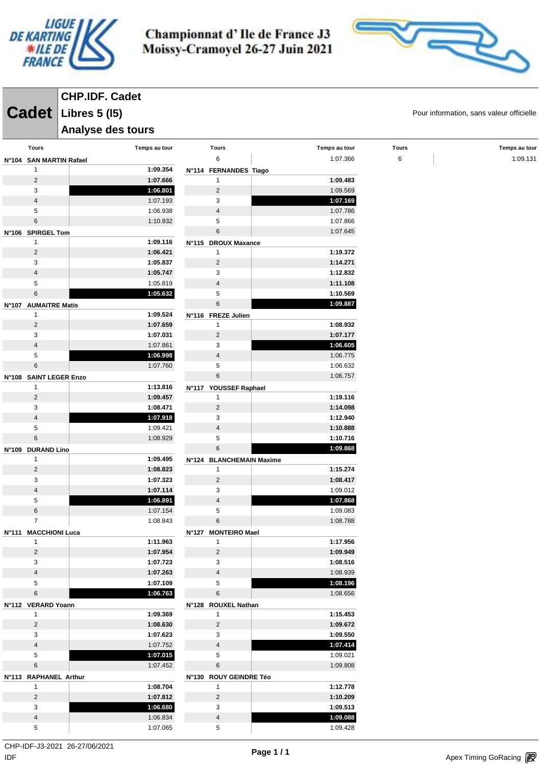



**CHP.IDF. Cadet**

**Analyse des tours** 

**Cadet** Libres 5 (15) **Cadet Pour information, sans valeur officielle** 

| <b>Tours</b>            | Temps au tour        | <b>Tours</b>                   | Temps au tour        | <b>Tours</b> | Temps au tour |
|-------------------------|----------------------|--------------------------------|----------------------|--------------|---------------|
| N°104 SAN MARTIN Rafael |                      | 6                              | 1:07.366             | 6            | 1:09.131      |
| $\mathbf{1}$            | 1:09.354             | N°114 FERNANDES Tiago          |                      |              |               |
| $\sqrt{2}$              | 1:07.666             | $\mathbf{1}$                   | 1:09.483             |              |               |
| 3                       | 1:06.801             | 2                              | 1:09.569             |              |               |
| 4                       | 1:07.193             | 3                              | 1:07.169             |              |               |
| 5                       | 1:06.938             | $\overline{\mathbf{4}}$        | 1:07.786             |              |               |
| $\,6\,$                 | 1:10.932             | 5                              | 1:07.866             |              |               |
| N°106 SPIRGEL Tom       |                      | 6                              | 1:07.645             |              |               |
| $\mathbf{1}$            | 1:09.116             | N°115 DROUX Maxance            |                      |              |               |
| $\overline{c}$          | 1:06.421             | 1                              | 1:19.372             |              |               |
| 3                       | 1:05.837             | $\overline{2}$                 | 1:14.271             |              |               |
| $\overline{4}$          | 1:05.747             | 3                              | 1:12.832             |              |               |
| 5                       | 1:05.819             | $\overline{4}$                 | 1:11.108             |              |               |
| $\,6\,$                 | 1:05.632             | 5                              | 1:10.569             |              |               |
| N°107 AUMAITRE Matis    |                      | $\,6$                          | 1:09.887             |              |               |
| $\mathbf{1}$            | 1:09.524             | N°116 FREZE Julien             |                      |              |               |
| $\overline{c}$          | 1:07.659             | $\mathbf{1}$                   | 1:08.932             |              |               |
| 3                       | 1:07.031             | 2                              | 1:07.177             |              |               |
| 4                       | 1:07.861             | 3                              | 1:06.605             |              |               |
| 5                       | 1:06.998             | $\overline{\mathbf{4}}$        | 1:06.775             |              |               |
| 6                       | 1:07.760             | 5                              | 1:06.632             |              |               |
| N°108 SAINT LEGER Enzo  |                      | $6\phantom{1}$                 | 1:06.757             |              |               |
| $\mathbf{1}$            | 1:13.816             | N°117 YOUSSEF Raphael          |                      |              |               |
| $\sqrt{2}$<br>3         | 1:09.457<br>1:08.471 | $\mathbf{1}$<br>$\overline{2}$ | 1:19.116<br>1:14.098 |              |               |
| 4                       | 1:07.918             | 3                              | 1:12.940             |              |               |
| 5                       | 1:09.421             | $\overline{4}$                 | 1:10.888             |              |               |
| 6                       | 1:08.929             | 5                              | 1:10.716             |              |               |
| N°109 DURAND Lino       |                      | $6\phantom{1}$                 | 1:09.868             |              |               |
| $\mathbf{1}$            | 1:09.495             | N°124 BLANCHEMAIN Maxime       |                      |              |               |
| $\sqrt{2}$              | 1:08.823             | $\mathbf{1}$                   | 1:15.274             |              |               |
| 3                       | 1:07.323             | $\overline{2}$                 | 1:08.417             |              |               |
| 4                       | 1:07.114             | 3                              | 1:09.012             |              |               |
| 5                       | 1:06.891             | $\sqrt{4}$                     | 1:07.868             |              |               |
| $\,6\,$                 | 1:07.154             | 5                              | 1:09.083             |              |               |
| $\overline{7}$          | 1:08.843             | $\,6$                          | 1:08.788             |              |               |
| N°111 MACCHIONI Luca    |                      | N°127 MONTEIRO Mael            |                      |              |               |
| $\overline{1}$          | 1:11.963             | $\mathbf{1}$                   | 1:17.956             |              |               |
| $\overline{c}$          | 1:07.954             | $\sqrt{2}$                     | 1:09.949             |              |               |
| 3                       | 1:07.723             | 3                              | 1:08.516             |              |               |
| $\overline{\mathbf{4}}$ | 1:07.263             | $\overline{4}$                 | 1:08.939             |              |               |
| 5                       | 1:07.109             | 5                              | 1:08.196             |              |               |
| $\,6\,$                 | 1:06.763             | 6                              | 1:08.656             |              |               |
| N°112 VERARD Yoann      |                      | N°128 ROUXEL Nathan            |                      |              |               |
| $\mathbf{1}$            | 1:09.369             | $\mathbf{1}$                   | 1:15.453             |              |               |
| $\sqrt{2}$              | 1:08.630             | $\overline{2}$                 | 1:09.672             |              |               |
| 3                       | 1:07.623             | 3                              | 1:09.550             |              |               |
| $\overline{\mathbf{4}}$ | 1:07.752             | $\overline{\mathbf{4}}$        | 1:07.414             |              |               |
| 5                       | 1:07.015             | 5                              | 1:09.021             |              |               |
| $\,6\,$                 | 1:07.452             | $\,6$                          | 1:09.808             |              |               |
| N°113 RAPHANEL Arthur   |                      | N°130 ROUY GEINDRE Téo         |                      |              |               |
| $\mathbf{1}$            | 1:08.704             | $\mathbf{1}$                   | 1:12.778             |              |               |
| $\sqrt{2}$              | 1:07.812             | $\overline{2}$                 | 1:10.209             |              |               |
| 3                       | 1:06.680             | 3                              | 1:09.513             |              |               |
| 4                       | 1:06.834             | $\overline{\mathbf{4}}$        | 1:09.088             |              |               |
| 5                       | 1:07.065             | 5                              | 1:09.428             |              |               |
|                         |                      |                                |                      |              |               |

 $\mathsf{IDF}$ CHP-IDF-J3-2021 26-27/06/2021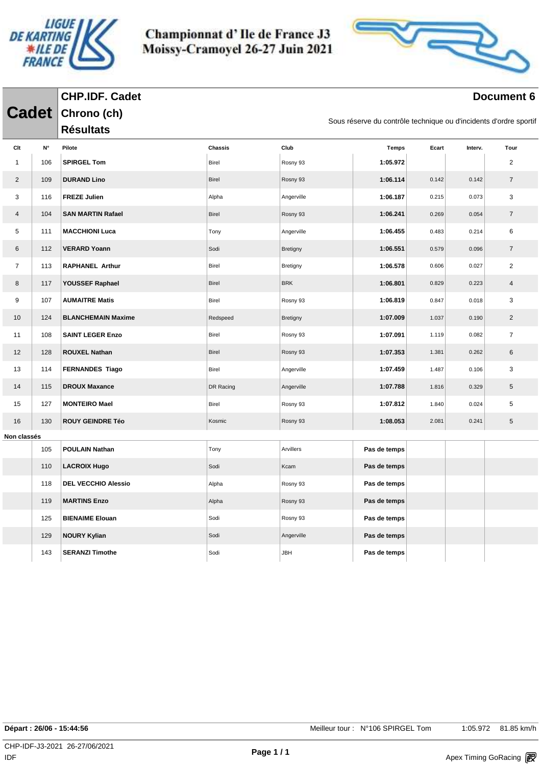

**CHP.IDF. Cadet**

Championnat d'Ile de France J3 Moissy-Cramoyel 26-27 Juin 2021



|                |                           | <b>Cadet</b> Chrono (ch)<br><b>Résultats</b> |                         |                  | Sous réserve du contrôle technique ou d'incidents d'ordre sportif |       |         |                        |  |  |  |
|----------------|---------------------------|----------------------------------------------|-------------------------|------------------|-------------------------------------------------------------------|-------|---------|------------------------|--|--|--|
|                |                           |                                              |                         |                  |                                                                   |       |         |                        |  |  |  |
| Clt<br>1       | $\mathsf{N}^\circ$<br>106 | Pilote<br><b>SPIRGEL Tom</b>                 | Chassis<br><b>Birel</b> | Club<br>Rosny 93 | <b>Temps</b><br>1:05.972                                          | Ecart | Interv. | Tour<br>$\overline{2}$ |  |  |  |
|                |                           |                                              |                         |                  |                                                                   |       |         |                        |  |  |  |
| $\overline{c}$ | 109                       | <b>DURAND Lino</b>                           | <b>Birel</b>            | Rosny 93         | 1:06.114                                                          | 0.142 | 0.142   | $\overline{7}$         |  |  |  |
| 3              | 116                       | <b>FREZE Julien</b>                          | Alpha                   | Angerville       | 1:06.187                                                          | 0.215 | 0.073   | 3                      |  |  |  |
| 4              | 104                       | <b>SAN MARTIN Rafael</b>                     | <b>Birel</b>            | Rosny 93         | 1:06.241                                                          | 0.269 | 0.054   | $\overline{7}$         |  |  |  |
| 5              | 111                       | <b>MACCHIONI Luca</b>                        | Tony                    | Angerville       | 1:06.455                                                          | 0.483 | 0.214   | 6                      |  |  |  |
| 6              | 112                       | <b>VERARD Yoann</b>                          | Sodi                    | Bretigny         | 1:06.551                                                          | 0.579 | 0.096   | $\overline{7}$         |  |  |  |
| $\overline{7}$ | 113                       | <b>RAPHANEL Arthur</b>                       | <b>Birel</b>            | Bretigny         | 1:06.578                                                          | 0.606 | 0.027   | $\overline{2}$         |  |  |  |
| 8              | 117                       | YOUSSEF Raphael                              | <b>Birel</b>            | <b>BRK</b>       | 1:06.801                                                          | 0.829 | 0.223   | $\overline{4}$         |  |  |  |
| 9              | 107                       | <b>AUMAITRE Matis</b>                        | Birel                   | Rosny 93         | 1:06.819                                                          | 0.847 | 0.018   | 3                      |  |  |  |
| 10             | 124                       | <b>BLANCHEMAIN Maxime</b>                    | Redspeed                | Bretigny         | 1:07.009                                                          | 1.037 | 0.190   | $\overline{2}$         |  |  |  |
| 11             | 108                       | <b>SAINT LEGER Enzo</b>                      | Birel                   | Rosny 93         | 1:07.091                                                          | 1.119 | 0.082   | $\overline{7}$         |  |  |  |
| 12             | 128                       | <b>ROUXEL Nathan</b>                         | <b>Birel</b>            | Rosny 93         | 1:07.353                                                          | 1.381 | 0.262   | 6                      |  |  |  |
| 13             | 114                       | <b>FERNANDES Tiago</b>                       | Birel                   | Angerville       | 1:07.459                                                          | 1.487 | 0.106   | 3                      |  |  |  |
| 14             | 115                       | <b>DROUX Maxance</b>                         | DR Racing               | Angerville       | 1:07.788                                                          | 1.816 | 0.329   | $\,$ 5 $\,$            |  |  |  |
| 15             | 127                       | <b>MONTEIRO Mael</b>                         | Birel                   | Rosny 93         | 1:07.812                                                          | 1.840 | 0.024   | 5                      |  |  |  |
| 16             | 130                       | <b>ROUY GEINDRE Téo</b>                      | Kosmic                  | Rosny 93         | 1:08.053                                                          | 2.081 | 0.241   | $\,$ 5 $\,$            |  |  |  |
| Non classés    |                           |                                              |                         |                  |                                                                   |       |         |                        |  |  |  |
|                | 105                       | <b>POULAIN Nathan</b>                        | Tony                    | Arvillers        | Pas de temps                                                      |       |         |                        |  |  |  |
|                | 110                       | <b>LACROIX Hugo</b>                          | Sodi                    | Kcam             | Pas de temps                                                      |       |         |                        |  |  |  |
|                | 118                       | <b>DEL VECCHIO Alessio</b>                   | Alpha                   | Rosny 93         | Pas de temps                                                      |       |         |                        |  |  |  |
|                | 119                       | <b>MARTINS Enzo</b>                          | Alpha                   | Rosny 93         | Pas de temps                                                      |       |         |                        |  |  |  |
|                | 125                       | <b>BIENAIME Elouan</b>                       | Sodi                    | Rosny 93         | Pas de temps                                                      |       |         |                        |  |  |  |
|                | 129                       | <b>NOURY Kylian</b>                          | Sodi                    | Angerville       | Pas de temps                                                      |       |         |                        |  |  |  |
|                | 143                       | <b>SERANZI Timothe</b>                       | Sodi                    | <b>JBH</b>       | Pas de temps                                                      |       |         |                        |  |  |  |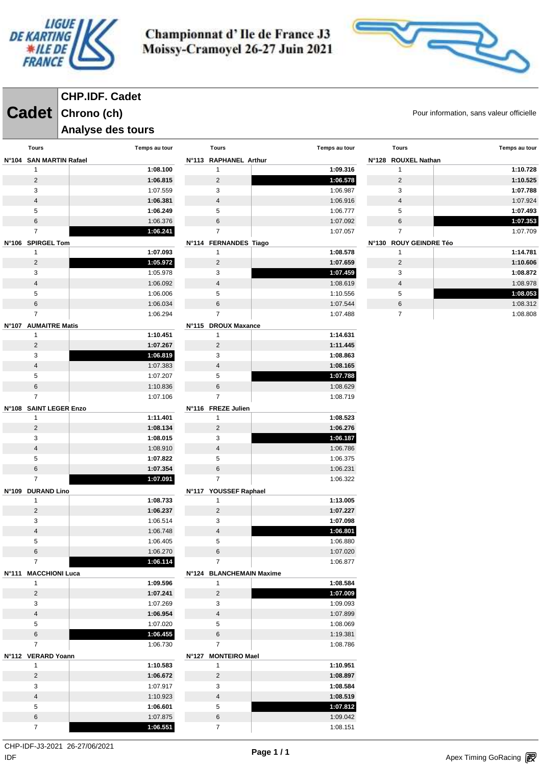



# **CHP.IDF. Cadet**

**Cadet** Chrono (ch) **Candell Chrono (ch) Candell Chrono (ch)** Pour information, sans valeur officielle

**Analyse des tours** 

| Tours                   | Temps au tour | <b>Tours</b>             | Temps au tour | <b>Tours</b>           | Temps au tour |
|-------------------------|---------------|--------------------------|---------------|------------------------|---------------|
| N°104 SAN MARTIN Rafael |               | N°113 RAPHANEL Arthur    |               | N°128 ROUXEL Nathan    |               |
| $\mathbf{1}$            | 1:08.100      | $\mathbf{1}$             | 1:09.316      | $\mathbf{1}$           | 1:10.728      |
| $\overline{2}$          | 1:06.815      | $\overline{2}$           | 1:06.578      | $\overline{2}$         | 1:10.525      |
| 3                       | 1:07.559      | 3                        | 1:06.987      | 3                      | 1:07.788      |
| $\overline{4}$          | 1:06.381      | $\overline{4}$           | 1:06.916      | $\overline{4}$         | 1:07.924      |
| 5                       | 1:06.249      | 5                        | 1:06.777      | 5                      | 1:07.493      |
| $\,6\,$                 | 1:06.376      | 6                        | 1:07.092      | 6                      | 1:07.353      |
| $\overline{7}$          | 1:06.241      | $\overline{7}$           | 1:07.057      | $\overline{7}$         | 1:07.709      |
| N°106 SPIRGEL Tom       |               | N°114 FERNANDES Tiago    |               | N°130 ROUY GEINDRE Téo |               |
| $\mathbf{1}$            | 1:07.093      | $\mathbf{1}$             | 1:08.578      | $\mathbf{1}$           | 1:14.781      |
| $\overline{2}$          | 1:05.972      | $\overline{2}$           | 1:07.659      | $\overline{2}$         | 1:10.606      |
| 3                       | 1:05.978      | 3                        | 1:07.459      | 3                      | 1:08.872      |
| $\overline{4}$          | 1:06.092      | $\overline{4}$           | 1:08.619      | $\overline{4}$         | 1:08.978      |
| 5                       | 1:06.006      | 5                        | 1:10.556      | 5                      | 1:08.053      |
| 6                       | 1:06.034      | 6                        | 1:07.544      | 6                      | 1:08.312      |
| $\overline{7}$          | 1:06.294      | $\overline{7}$           | 1:07.488      | $\overline{7}$         | 1:08.808      |
| N°107 AUMAITRE Matis    |               | N°115 DROUX Maxance      |               |                        |               |
| $\mathbf{1}$            | 1:10.451      | $\mathbf{1}$             | 1:14.631      |                        |               |
| $\overline{2}$          | 1:07.267      | $\overline{2}$           | 1:11.445      |                        |               |
| 3                       | 1:06.819      | 3                        | 1:08.863      |                        |               |
| $\sqrt{4}$              | 1:07.383      | $\overline{4}$           | 1:08.165      |                        |               |
| 5                       | 1:07.207      | 5                        | 1:07.788      |                        |               |
| $\,6\,$                 | 1:10.836      | 6                        | 1:08.629      |                        |               |
| $\overline{7}$          | 1:07.106      | $\overline{7}$           | 1:08.719      |                        |               |
| N°108 SAINT LEGER Enzo  |               | N°116 FREZE Julien       |               |                        |               |
| $\mathbf{1}$            | 1:11.401      | $\mathbf{1}$             | 1:08.523      |                        |               |
| $\overline{2}$          | 1:08.134      | $\overline{2}$           | 1:06.276      |                        |               |
| 3                       | 1:08.015      | 3                        | 1:06.187      |                        |               |
| $\overline{4}$          | 1:08.910      | $\overline{4}$           | 1:06.786      |                        |               |
| 5                       | 1:07.822      | 5                        | 1:06.375      |                        |               |
| $\,6\,$                 | 1:07.354      | 6                        | 1:06.231      |                        |               |
| $\overline{7}$          | 1:07.091      | $\overline{7}$           | 1:06.322      |                        |               |
| N°109 DURAND Lino       |               | N°117 YOUSSEF Raphael    |               |                        |               |
| $\mathbf{1}$            | 1:08.733      | $\mathbf{1}$             | 1:13.005      |                        |               |
| $\overline{2}$          | 1:06.237      | $\overline{2}$           | 1:07.227      |                        |               |
| 3                       | 1:06.514      | 3                        | 1:07.098      |                        |               |
| $\overline{4}$          | 1:06.748      | $\overline{4}$           | 1:06.801      |                        |               |
| 5                       | 1:06.405      | 5                        | 1:06.880      |                        |               |
| 6                       | 1:06.270      | $6\phantom{.}6$          | 1:07.020      |                        |               |
| $7^{\circ}$             | 1:06.114      | $\overline{7}$           | 1:06.877      |                        |               |
| N°111 MACCHIONI Luca    |               | N°124 BLANCHEMAIN Maxime |               |                        |               |
| $\mathbf{1}$            | 1:09.596      | $\mathbf{1}$             | 1:08.584      |                        |               |
| $\overline{2}$          | 1:07.241      | $\overline{2}$           | 1:07.009      |                        |               |
| 3                       | 1:07.269      | 3                        | 1:09.093      |                        |               |
| $\overline{\mathbf{4}}$ | 1:06.954      | $\overline{4}$           | 1:07.899      |                        |               |
| 5                       | 1:07.020      | $5\phantom{.0}$          | 1:08.069      |                        |               |
| $\,6\,$                 | 1:06.455      | $6\phantom{.}$           | 1:19.381      |                        |               |
| $\overline{7}$          | 1:06.730      | $\overline{7}$           | 1:08.786      |                        |               |
| N°112 VERARD Yoann      |               | N°127 MONTEIRO Mael      |               |                        |               |
| $\mathbf{1}$            | 1:10.583      | $\mathbf{1}$             | 1:10.951      |                        |               |
| $\overline{2}$          | 1:06.672      | $\overline{2}$           | 1:08.897      |                        |               |
| 3                       | 1:07.917      | 3                        | 1:08.584      |                        |               |
| $\overline{4}$          | 1:10.923      | $\overline{4}$           | 1:08.519      |                        |               |
| $\sqrt{5}$              | 1:06.601      | 5                        | 1:07.812      |                        |               |
| $\,6\,$                 | 1:07.875      | 6                        | 1:09.042      |                        |               |
| $\overline{7}$          | 1:06.551      | $\overline{7}$           | 1:08.151      |                        |               |

CHP-IDF-J3-2021 26-27/06/2021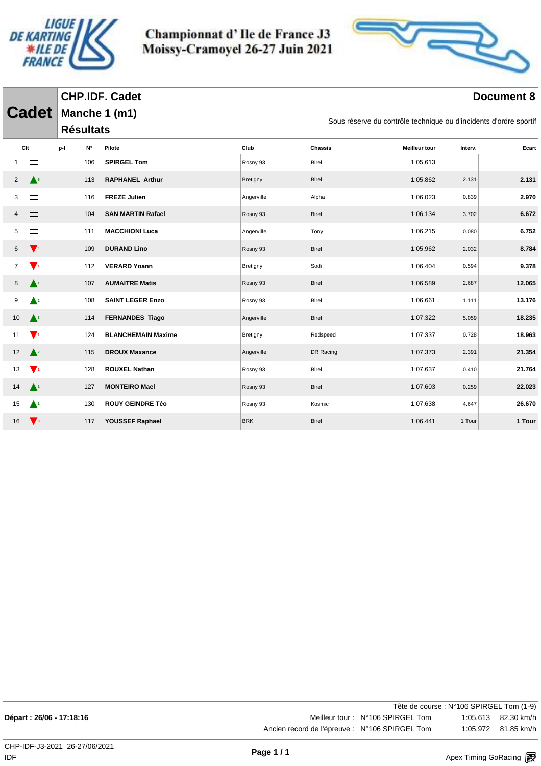



|                                          |     |                  | <b>CHP.IDF. Cadet</b>     |                                                                   |                |                      |         | <b>Document 8</b> |  |  |  |  |
|------------------------------------------|-----|------------------|---------------------------|-------------------------------------------------------------------|----------------|----------------------|---------|-------------------|--|--|--|--|
| <b>Cadet</b>                             |     |                  | Manche 1 (m1)             |                                                                   |                |                      |         |                   |  |  |  |  |
|                                          |     | <b>Résultats</b> |                           | Sous réserve du contrôle technique ou d'incidents d'ordre sportif |                |                      |         |                   |  |  |  |  |
| Clt                                      | p-l | N۰               | Pilote                    | Club                                                              | <b>Chassis</b> | <b>Meilleur tour</b> | Interv. | Ecart             |  |  |  |  |
| $\equiv$                                 |     | 106              | <b>SPIRGEL Tom</b>        | Rosny 93                                                          | <b>Birel</b>   | 1:05.613             |         |                   |  |  |  |  |
| $\triangle^5$<br>2                       |     | 113              | <b>RAPHANEL Arthur</b>    | Bretigny                                                          | Birel          | 1:05.862             | 2.131   | 2.131             |  |  |  |  |
| $\equiv$<br>3                            |     | 116              | <b>FREZE Julien</b>       | Angerville                                                        | Alpha          | 1:06.023             | 0.839   | 2.970             |  |  |  |  |
| $\equiv$                                 |     | 104              | <b>SAN MARTIN Rafael</b>  | Rosny 93                                                          | Birel          | 1:06.134             | 3.702   | 6.672             |  |  |  |  |
| $\equiv$<br>5                            |     | 111              | <b>MACCHIONI Luca</b>     | Angerville                                                        | Tony           | 1:06.215             | 0.080   | 6.752             |  |  |  |  |
| $\sqrt{4}$<br>6                          |     | 109              | <b>DURAND Lino</b>        | Rosny 93                                                          | Birel          | 1:05.962             | 2.032   | 8.784             |  |  |  |  |
| $\blacktriangledown_1$<br>$\overline{7}$ |     | 112              | <b>VERARD Yoann</b>       | Bretigny                                                          | Sodi           | 1:06.404             | 0.594   | 9.378             |  |  |  |  |
| $\blacktriangle^1$<br>8                  |     | 107              | <b>AUMAITRE Matis</b>     | Rosny 93                                                          | <b>Birel</b>   | 1:06.589             | 2.687   | 12.065            |  |  |  |  |
| $\triangle^2$<br>9                       |     | 108              | <b>SAINT LEGER Enzo</b>   | Rosny 93                                                          | Birel          | 1:06.661             | 1.111   | 13.176            |  |  |  |  |
| $\mathbf{A}^3$<br>10                     |     | 114              | <b>FERNANDES Tiago</b>    | Angerville                                                        | <b>Birel</b>   | 1:07.322             | 5.059   | 18.235            |  |  |  |  |
| $\mathbf{V}$<br>11                       |     | 124              | <b>BLANCHEMAIN Maxime</b> | Bretigny                                                          | Redspeed       | 1:07.337             | 0.728   | 18.963            |  |  |  |  |
| $\triangle^2$<br>12                      |     | 115              | <b>DROUX Maxance</b>      | Angerville                                                        | DR Racing      | 1:07.373             | 2.391   | 21.354            |  |  |  |  |
| $\blacktriangledown_1$<br>13             |     | 128              | <b>ROUXEL Nathan</b>      | Rosny 93                                                          | Birel          | 1:07.637             | 0.410   | 21.764            |  |  |  |  |
| $\mathbf{A}^1$<br>14                     |     | 127              | <b>MONTEIRO Mael</b>      | Rosny 93                                                          | <b>Birel</b>   | 1:07.603             | 0.259   | 22.023            |  |  |  |  |
| $\blacktriangle$<br>15                   |     | 130              | <b>ROUY GEINDRE Téo</b>   | Rosny 93                                                          | Kosmic         | 1:07.638             | 4.647   | 26.670            |  |  |  |  |
| $\mathbf{V}$<br>16                       |     | 117              | YOUSSEF Raphael           | <b>BRK</b>                                                        | <b>Birel</b>   | 1:06.441             | 1 Tour  | 1 Tour            |  |  |  |  |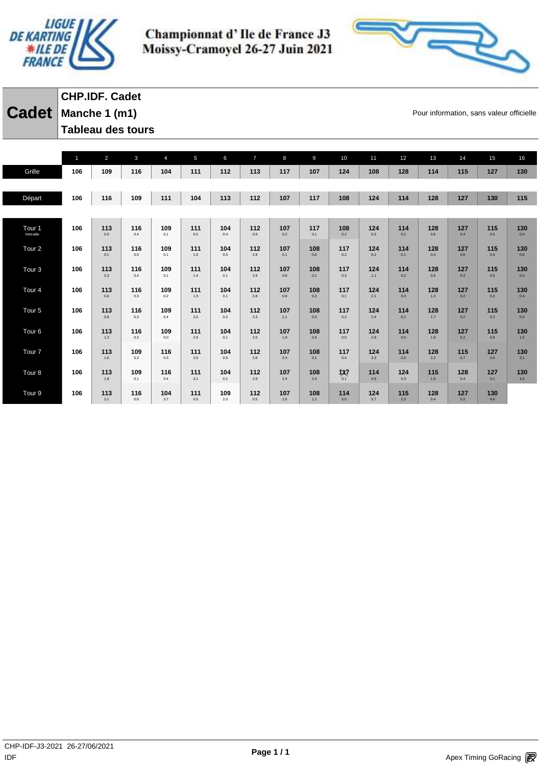



## **Cadet** Manche 1 (m1) **Cadet Pour information, sans valeur officielle CHP.IDF. Cadet Tableau des tours**

|                                 | 1   | $\overline{2}$ | $\mathbf{3}$ | $\overline{4}$ | 5              | 6          | $\overline{7}$ | 8          | 9          | 10         | 11         | 12         | 13           | 14         | 15         | 16         |
|---------------------------------|-----|----------------|--------------|----------------|----------------|------------|----------------|------------|------------|------------|------------|------------|--------------|------------|------------|------------|
| Grille                          | 106 | 109            | 116          | 104            | 111            | 112        | 113            | 117        | 107        | 124        | 108        | 128        | 114          | 115        | 127        | 130        |
|                                 |     |                |              |                |                |            |                |            |            |            |            |            |              |            |            |            |
| Départ                          | 106 | 116            | 109          | 111            | 104            | 113        | 112            | 107        | 117        | 108        | 124        | 114        | 128          | 127        | 130        | 115        |
|                                 |     |                |              |                |                |            |                |            |            |            |            |            |              |            |            |            |
| Tour <sub>1</sub><br>Intervalle | 106 | 113<br>0.0     | 116<br>0.4   | 109<br>0.1     | 111<br>$0.5\,$ | 104<br>0.4 | 112<br>0.9     | 107<br>0.2 | 117<br>0.1 | 108<br>0.2 | 124<br>0.5 | 114<br>0.2 | 128<br>0.6   | 127<br>0.4 | 115<br>0.5 | 130<br>0.4 |
| Tour <sub>2</sub>               | 106 | 113<br>0.1     | 116<br>0.5   | 109<br>0.1     | 111<br>1.0     | 104<br>0.0 | 112<br>2.8     | 107<br>0.1 | 108<br>0.6 | 117<br>0.2 | 124<br>0.2 | 114<br>0.1 | 128<br>0.4   | 127<br>0.6 | 115<br>0.4 | 130<br>0.6 |
| Tour <sub>3</sub>               | 106 | 113<br>0.3     | 116<br>0.4   | 109<br>0.1     | 111<br>1.4     | 104<br>0.1 | 112<br>2.9     | 107<br>0.8 | 108<br>0.1 | 117<br>0.3 | 124<br>1.1 | 114<br>0.2 | 128<br>0.6   | 127<br>0.2 | 115<br>0.5 | 130<br>0.4 |
| Tour <sub>4</sub>               | 106 | 113<br>0.6     | 116<br>0.3   | 109<br>0.2     | 111<br>1.9     | 104<br>0.1 | 112<br>2.8     | 107<br>0.8 | 108<br>0.2 | 117<br>0.1 | 124<br>2.1 | 114<br>0.0 | 128<br>$1.3$ | 127<br>0.2 | 115<br>0.2 | 130<br>0.4 |
| Tour <sub>5</sub>               | 106 | 113<br>0.8     | 116<br>0.3   | 109<br>0.4     | 111<br>2.5     | 104<br>0.2 | 112<br>2.3     | 107<br>1.1 | 108<br>0.3 | 117<br>0.2 | 124<br>2.4 | 114<br>0.1 | 128<br>1.7   | 127<br>0.2 | 115<br>0.2 | 130<br>0.4 |
| Tour <sub>6</sub>               | 106 | 113<br>1.2     | 116<br>0.3   | 109<br>0.0     | 111<br>2.9     | 104<br>0.1 | 112<br>2.5     | 107<br>1.9 | 108<br>0.4 | 117<br>0.0 | 124<br>2.8 | 114<br>0.0 | 128<br>1.8   | 127<br>0.2 | 115<br>0.8 | 130<br>1.5 |
| Tour <sub>7</sub>               | 106 | 113<br>1.6     | 109<br>0.3   | 116<br>0.3     | 111<br>2.6     | 104<br>0.0 | 112<br>2.8     | 107<br>2.4 | 108<br>0.1 | 117<br>0.4 | 124<br>3.3 | 114<br>0.0 | 128<br>2.2   | 115<br>0.7 | 127<br>0.0 | 130<br>3.1 |
| Tour <sub>8</sub>               | 106 | 113<br>1.8     | 109<br>0.1   | 116<br>0.4     | 111<br>3.1     | 104<br>0.1 | 112<br>2.9     | 107<br>2.4 | 108<br>0.3 | 议<br>0.1   | 114<br>4.9 | 124<br>0.3 | 115<br>1.9   | 128<br>0.4 | 127<br>0.1 | 130<br>4.2 |
| Tour <sub>9</sub>               | 106 | 113<br>2.1     | 116<br>0.8   | 104<br>3.7     | 111<br>0.0     | 109<br>2.0 | 112<br>0.5     | 107<br>2.6 | 108<br>1.1 | 114<br>5.0 | 124<br>0.7 | 115<br>2.3 | 128<br>0.4   | 127<br>0.2 | 130<br>4.6 |            |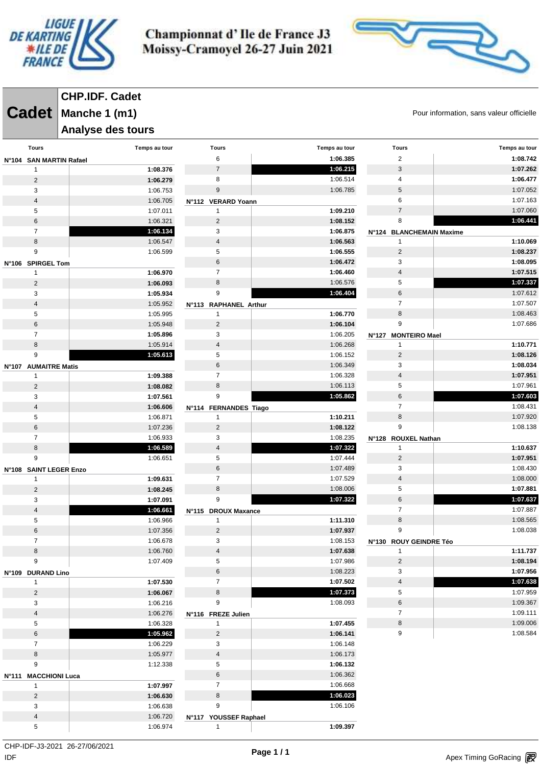



**Cadet** Manche 1 (m1) **Cadet Pour information, sans valeur officielle CHP.IDF. Cadet**

#### **Analyse des tours**

| <b>Tours</b>            | Temps au tour | <b>Tours</b>                          | Temps au tour | <b>Tours</b>                  | Temps au tour |
|-------------------------|---------------|---------------------------------------|---------------|-------------------------------|---------------|
| N°104 SAN MARTIN Rafael |               | 6                                     | 1:06.385      | $\overline{2}$                | 1:08.742      |
| 1                       | 1:08.376      | $\overline{7}$                        | 1:06.215      | $\mathbf{3}$                  | 1:07.262      |
| $\overline{c}$          | 1:06.279      | 8                                     | 1:06.514      | 4                             | 1:06.477      |
| 3                       | 1:06.753      | $\boldsymbol{9}$                      | 1:06.785      | $\,$ 5 $\,$                   | 1:07.052      |
| $\overline{4}$          | 1:06.705      | N°112 VERARD Yoann                    |               | 6                             | 1:07.163      |
| 5                       | 1:07.011      | $\mathbf{1}$                          | 1:09.210      | $\overline{7}$                | 1:07.060      |
| 6                       | 1:06.321      | $\overline{2}$                        | 1:08.152      | 8                             | 1:06.441      |
| $\overline{7}$          | 1:06.134      | 3                                     | 1:06.875      | N°124 BLANCHEMAIN Maxime      |               |
| 8                       | 1:06.547      | $\overline{4}$                        | 1:06.563      | $\mathbf{1}$                  | 1:10.069      |
| 9                       | 1:06.599      | 5                                     | 1:06.555      | $\overline{2}$                | 1:08.237      |
| N°106 SPIRGEL Tom       |               | 6                                     | 1:06.472      | 3                             | 1:08.095      |
| 1                       | 1:06.970      | $\overline{7}$                        | 1:06.460      | 4                             | 1:07.515      |
| $\overline{2}$          | 1:06.093      | 8                                     | 1:06.576      | 5                             | 1:07.337      |
| 3                       | 1:05.934      | 9                                     | 1:06.404      | $\,6$                         | 1:07.612      |
| $\overline{4}$          | 1:05.952      |                                       |               | $\overline{7}$                | 1:07.507      |
| 5                       | 1:05.995      | N°113 RAPHANEL Arthur<br>$\mathbf{1}$ | 1:06.770      | 8                             | 1:08.463      |
| 6                       | 1:05.948      | $\overline{2}$                        | 1:06.104      | 9                             | 1:07.686      |
| $\overline{7}$          | 1:05.896      | 3                                     | 1:06.205      |                               |               |
|                         |               |                                       |               | <b>MONTEIRO Mael</b><br>N°127 |               |
| 8                       | 1:05.914      | $\overline{4}$                        | 1:06.268      | $\mathbf{1}$                  | 1:10.771      |
| 9                       | 1:05.613      | 5                                     | 1:06.152      | $\overline{2}$                | 1:08.126      |
| N°107 AUMAITRE Matis    |               | 6                                     | 1:06.349      | 3                             | 1:08.034      |
| 1                       | 1:09.388      | $\overline{7}$                        | 1:06.328      | 4                             | 1:07.951      |
| $\overline{c}$          | 1:08.082      | 8                                     | 1:06.113      | 5                             | 1:07.961      |
| 3                       | 1:07.561      | 9                                     | 1:05.862      | $\,6$                         | 1:07.603      |
| $\overline{4}$          | 1:06.606      | N°114 FERNANDES Tiago                 |               | $\overline{7}$                | 1:08.431      |
| 5                       | 1:06.871      | $\mathbf{1}$                          | 1:10.211      | $\bf 8$                       | 1:07.920      |
| 6                       | 1:07.236      | $\overline{2}$                        | 1:08.122      | 9                             | 1:08.138      |
| $\overline{7}$          | 1:06.933      | 3                                     | 1:08.235      | N°128 ROUXEL Nathan           |               |
| 8                       | 1:06.589      | 4                                     | 1:07.322      | $\mathbf{1}$                  | 1:10.637      |
| 9                       | 1:06.651      | 5                                     | 1:07.444      | $\overline{2}$                | 1:07.951      |
| N°108 SAINT LEGER Enzo  |               | $\,6$                                 | 1:07.489      | 3                             | 1:08.430      |
| 1                       | 1:09.631      | $\overline{7}$                        | 1:07.529      | $\overline{4}$                | 1:08.000      |
| $\overline{2}$          | 1:08.245      | $\,8\,$                               | 1:08.006      | 5                             | 1:07.881      |
| 3                       | 1:07.091      | 9                                     | 1:07.322      | $\,6$                         | 1:07.637      |
| 4                       | 1:06.661      | N°115 DROUX Maxance                   |               | $\overline{7}$                | 1:07.887      |
| 5                       | 1:06.966      | $\mathbf{1}$                          | 1:11.310      | $\bf 8$                       | 1:08.565      |
| 6                       | 1:07.356      | $\overline{2}$                        | 1:07.937      | 9                             | 1:08.038      |
| $\overline{7}$          | 1:06.678      | 3                                     | 1:08.153      | N°130 ROUY GEINDRE Téo        |               |
| 8                       | 1:06.760      | $\overline{4}$                        | 1:07.638      | $\mathbf{1}$                  | 1:11.737      |
| 9                       | 1:07.409      | 5                                     | 1:07.986      | $\overline{2}$                | 1:08.194      |
| N°109 DURAND Lino       |               | 6                                     | 1:08.223      | 3                             | 1:07.956      |
| $\mathbf{1}$            | 1:07.530      | $\overline{7}$                        | 1:07.502      | $\overline{4}$                | 1:07.638      |
| $\overline{2}$          | 1:06.067      | 8                                     | 1:07.373      | 5                             | 1:07.959      |
| 3                       | 1:06.216      | 9                                     | 1:08.093      | $\,6$                         | 1:09.367      |
| $\overline{4}$          | 1:06.276      | N°116 FREZE Julien                    |               | $\overline{7}$                | 1:09.111      |
| 5                       | 1:06.328      | $\mathbf{1}$                          | 1:07.455      | $\bf 8$                       | 1:09.006      |
| 6                       | 1:05.962      | $\overline{2}$                        | 1:06.141      | 9                             | 1:08.584      |
| $\overline{7}$          | 1:06.229      | 3                                     | 1:06.148      |                               |               |
| 8                       | 1:05.977      | $\overline{4}$                        | 1:06.173      |                               |               |
| 9                       | 1:12.338      | 5                                     | 1:06.132      |                               |               |
| N°111 MACCHIONI Luca    |               | $\,6$                                 | 1:06.362      |                               |               |
| 1                       | 1:07.997      | $\overline{7}$                        | 1:06.668      |                               |               |
| $\overline{2}$          | 1:06.630      | 8                                     | 1:06.023      |                               |               |
| 3                       | 1:06.638      | 9                                     | 1:06.106      |                               |               |
| $\overline{\mathbf{4}}$ | 1:06.720      | N°117 YOUSSEF Raphael                 |               |                               |               |
| 5                       | 1:06.974      | $\mathbf{1}$                          | 1:09.397      |                               |               |

 $\mathsf{IDF}$ CHP-IDF-J3-2021 26-27/06/2021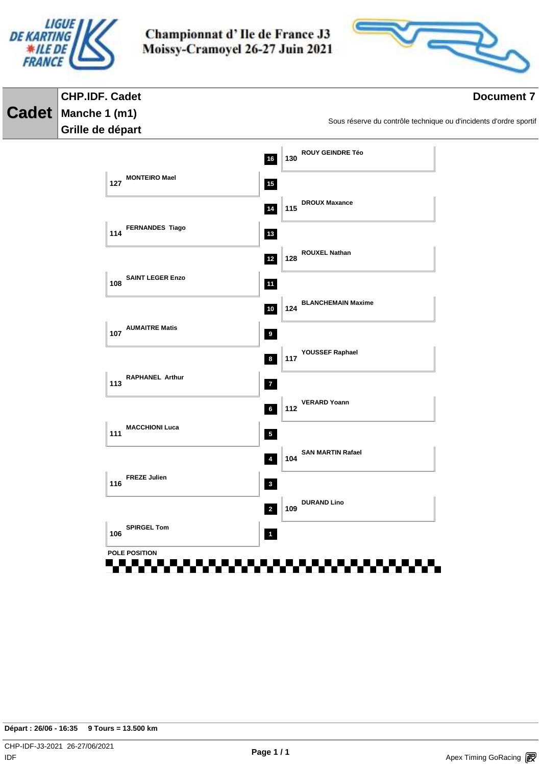



#### **CHP.IDF. Cadet Document 7 Cadet Manche 1 (m1)** Sous réserve du contrôle technique ou d'incidents d'ordre sportif **Grille de départ ROUY GEINDRE Téo 16 130 127 MONTEIRO Mael 15 DROUX Maxance 14 115 FERNANDES Tiago 13 114 ROUXEL Nathan 12 128 SAINT LEGER Enzo 108 11 BLANCHEMAIN Maxime 10 124 107 AUMAITRE Matis 9 YOUSSEF Raphael 8 117 113 RAPHANEL Arthur 7 VERARD Yoann 6 112 MACCHIONI Luca 111 5 SAN MARTIN Rafael 4 104 FREZE Julien 116 3 DURAND Lino 2 109 SPIRGEL Tom 106 POLE POSITION**55555555 **BRITISH** . . . . . . .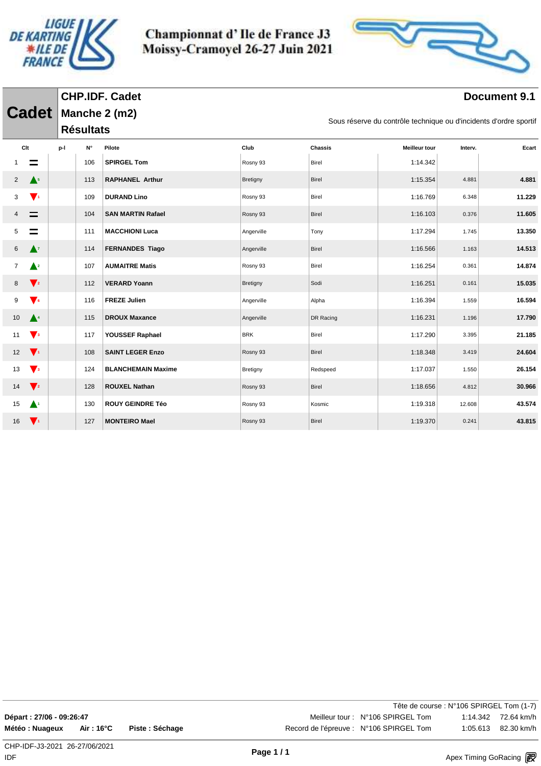



#### **Document 9.1**

|                |                           |     |                                                                                    | <b>CHP.IDF. Cadet</b>     |            |                |                      |         | Document 9.1 |  |  |  |  |  |
|----------------|---------------------------|-----|------------------------------------------------------------------------------------|---------------------------|------------|----------------|----------------------|---------|--------------|--|--|--|--|--|
|                | <b>Cadet</b>              |     | Manche 2 (m2)<br>Sous réserve du contrôle technique ou d'incidents d'ordre sportif |                           |            |                |                      |         |              |  |  |  |  |  |
|                |                           |     | <b>Résultats</b>                                                                   |                           |            |                |                      |         |              |  |  |  |  |  |
| Clt            |                           | p-l | N۰                                                                                 | Pilote                    | Club       | <b>Chassis</b> | <b>Meilleur tour</b> | Interv. | Ecart        |  |  |  |  |  |
|                | $\equiv$                  |     | 106                                                                                | <b>SPIRGEL Tom</b>        | Rosny 93   | Birel          | 1:14.342             |         |              |  |  |  |  |  |
| $\overline{2}$ | $\triangle^5$             |     | 113                                                                                | <b>RAPHANEL Arthur</b>    | Bretigny   | <b>Birel</b>   | 1:15.354             | 4.881   | 4.881        |  |  |  |  |  |
| 3              | $\mathbf{V}$              |     | 109                                                                                | <b>DURAND Lino</b>        | Rosny 93   | Birel          | 1:16.769             | 6.348   | 11.229       |  |  |  |  |  |
|                | $\equiv$                  |     | 104                                                                                | <b>SAN MARTIN Rafael</b>  | Rosny 93   | <b>Birel</b>   | 1:16.103             | 0.376   | 11.605       |  |  |  |  |  |
| 5              | $\equiv$                  |     | 111                                                                                | <b>MACCHIONI Luca</b>     | Angerville | Tony           | 1:17.294             | 1.745   | 13.350       |  |  |  |  |  |
| 6              | $\mathbf{A}^{\mathsf{z}}$ |     | 114                                                                                | <b>FERNANDES Tiago</b>    | Angerville | Birel          | 1:16.566             | 1.163   | 14.513       |  |  |  |  |  |
| 7              | $\triangle^2$             |     | 107                                                                                | <b>AUMAITRE Matis</b>     | Rosny 93   | <b>Birel</b>   | 1:16.254             | 0.361   | 14.874       |  |  |  |  |  |
| 8              | $\mathbf{V}$ <sub>2</sub> |     | 112                                                                                | <b>VERARD Yoann</b>       | Bretigny   | Sodi           | 1:16.251             | 0.161   | 15.035       |  |  |  |  |  |
| 9              | $\blacktriangledown_6$    |     | 116                                                                                | <b>FREZE Julien</b>       | Angerville | Alpha          | 1:16.394             | 1.559   | 16.594       |  |  |  |  |  |
| 10             | $\blacktriangle^4$        |     | 115                                                                                | <b>DROUX Maxance</b>      | Angerville | DR Racing      | 1:16.231             | 1.196   | 17.790       |  |  |  |  |  |
| 11             | $\sqrt{3}$                |     | 117                                                                                | YOUSSEF Raphael           | <b>BRK</b> | Birel          | 1:17.290             | 3.395   | 21.185       |  |  |  |  |  |
| 12             | $\mathbf{V}$              |     | 108                                                                                | <b>SAINT LEGER Enzo</b>   | Rosny 93   | Birel          | 1:18.348             | 3.419   | 24.604       |  |  |  |  |  |
| 13             | $\sqrt{3}$                |     | 124                                                                                | <b>BLANCHEMAIN Maxime</b> | Bretigny   | Redspeed       | 1:17.037             | 1.550   | 26.154       |  |  |  |  |  |
| 14             | $\sqrt{2}$                |     | 128                                                                                | <b>ROUXEL Nathan</b>      | Rosny 93   | Birel          | 1:18.656             | 4.812   | 30.966       |  |  |  |  |  |
| 15             | $\blacktriangle$          |     | 130                                                                                | <b>ROUY GEINDRE Téo</b>   | Rosny 93   | Kosmic         | 1:19.318             | 12.608  | 43.574       |  |  |  |  |  |
| 16             | $\mathbf{V}$              |     | 127                                                                                | <b>MONTEIRO Mael</b>      | Rosny 93   | <b>Birel</b>   | 1:19.370             | 0.241   | 43.815       |  |  |  |  |  |

| )épart : 27/06 - 09:26:47 |                    |              |
|---------------------------|--------------------|--------------|
| létéo : Nuageux           | $Air:16^{\circ}$ C | Piste: Sécha |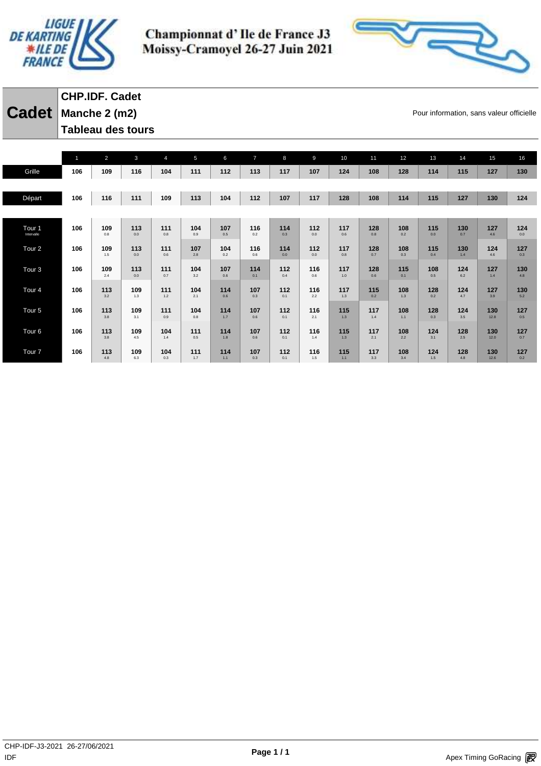



**Cadet** Manche 2 (m2) **Cadet Pour information, sans valeur officielle CHP.IDF. Cadet Tableau des tours** 

|                                 | $\mathbf{1}$ | $\overline{2}$ | $\mathbf{3}$ | $\overline{4}$ | 5          | 6          | $\overline{7}$ | 8          | 9          | 10         | 11         | 12         | 13         | 14         | 15          | 16         |
|---------------------------------|--------------|----------------|--------------|----------------|------------|------------|----------------|------------|------------|------------|------------|------------|------------|------------|-------------|------------|
| Grille                          | 106          | 109            | 116          | 104            | 111        | 112        | 113            | 117        | 107        | 124        | 108        | 128        | 114        | 115        | 127         | 130        |
|                                 |              |                |              |                |            |            |                |            |            |            |            |            |            |            |             |            |
| Départ                          | 106          | 116            | 111          | 109            | 113        | 104        | 112            | 107        | 117        | 128        | 108        | 114        | 115        | 127        | 130         | 124        |
|                                 |              |                |              |                |            |            |                |            |            |            |            |            |            |            |             |            |
|                                 | 106          | 109            | 113          | 111            | 104        | 107        | 116            | 114        | 112        | 117        | 128        | 108        | 115        | 130        | 127         | 124        |
| Tour <sub>1</sub><br>Intervalle |              | 0.8            | 0.0          | 0.8            | 0.9        | 0.5        | 0.2            | 0.3        | 0.0        | 0.6        | 0.8        | 0.2        | 0.0        | 0.7        | 4.6         | 0.0        |
| Tour <sub>2</sub>               | 106          | 109            | 113          | 111            | 107        | 104        | 116            | 114        | 112        | 117        | 128        | 108        | 115        | 130        | 124         | 127        |
|                                 |              | 1.5            | 0.0          | 0.6            | 2.8        | 0.2        | 0.6            | 0.0        | 0.0        | 0.8        | 0.7        | 0.3        | 0.4        | 1.4        | 4.6         | 0.3        |
| Tour <sub>3</sub>               | 106          | 109            | 113          | 111            | 104        | 107        | 114            | 112        | 116        | 117        | 128        | 115        | 108        | 124        | 127         | 130        |
|                                 |              | 2.4            | 0.0          | 0.7            | 3.2        | 0.6        | 0.1            | 0.4        | 0.6        | 1.0        | 0.6        | 0.1        | 0.5        | 6.2        | 1.4         | 4.8        |
| Tour <sub>4</sub>               | 106          | 113            | 109          | 111            | 104        | 114        | 107            | 112        | 116        | 117        | 115        | 108        | 128        | 124        | 127         | 130        |
|                                 |              | 3.2            | 1.3          | 1.2            | 2.1        | 0.6        | 0.3            | 0.1        | 2.2        | 1.3        | 0.2        | 1.3        | 0.2        | 4.7        | 3.9         | 5.2        |
| Tour <sub>5</sub>               | 106          | 113            | 109          | 111            | 104        | 114        | 107            | 112        | 116        | 115        | 117        | 108        | 128        | 124        | 130         | 127        |
|                                 |              | 3.8            | 3.1          | 0.9            | 0.8        | 1.7        | 0.6            | 0.1        | 2.1        | 1.3        | 1.4        | $1.1$      | 0.3        | 3.5        | 12.8        | 0.5        |
| Tour <sub>6</sub>               | 106          | 113            | 109          | 104            | 111        | 114        | 107            | 112        | 116        | 115        | 117        | 108        | 124        | 128        | 130         | 127        |
|                                 |              | 3.8            | 4.5          | 1.4            | 0.5        | 1.8        | 0.6            | 0.1        | 1.4        | 1.3        | 2.1        | 2.2        | 3.1        | 2.5        | 12.0        | 0.7        |
| Tour <sub>7</sub>               | 106          | 113<br>4.8     | 109          | 104<br>0.3     | 111<br>1.7 | 114<br>1.1 | 107<br>0.3     | 112<br>0.1 | 116<br>1.5 | 115<br>1.1 | 117<br>3.3 | 108<br>3.4 | 124<br>1.5 | 128<br>4.8 | 130<br>12.6 | 127<br>0.2 |
|                                 |              |                | 6.3          |                |            |            |                |            |            |            |            |            |            |            |             |            |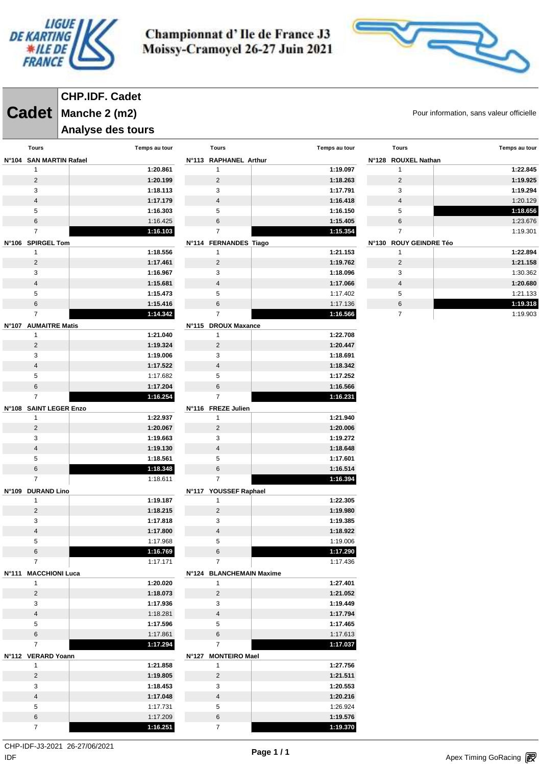



**Cadet** Manche 2 (m2) **Cadet Pour information, sans valeur officielle CHP.IDF. Cadet**

#### **Analyse des tours**

|                              | .                    |                                     |                      |                        |                      |  |
|------------------------------|----------------------|-------------------------------------|----------------------|------------------------|----------------------|--|
| <b>Tours</b>                 | Temps au tour        | <b>Tours</b>                        | Temps au tour        | <b>Tours</b>           | Temps au tour        |  |
| N°104 SAN MARTIN Rafael      |                      | N°113 RAPHANEL Arthur               |                      | N°128 ROUXEL Nathan    |                      |  |
| 1                            | 1:20.861             | 1                                   | 1:19.097             | 1                      | 1:22.845             |  |
| $\sqrt{2}$                   | 1:20.199             | $\sqrt{2}$                          | 1:18.263             | $\overline{2}$         | 1:19.925             |  |
| 3                            | 1:18.113             | 3                                   | 1:17.791             | 3                      | 1:19.294             |  |
| $\overline{\mathbf{4}}$      | 1:17.179             | $\sqrt{4}$                          | 1:16.418             | $\overline{4}$         | 1:20.129             |  |
| 5                            | 1:16.303             | 5                                   | 1:16.150             | 5                      | 1:18.656             |  |
| 6                            | 1:16.425             | $\,6$                               | 1:15.405             | 6                      | 1:23.676             |  |
| $\overline{7}$               | 1:16.103             | $\overline{7}$                      | 1:15.354             | $\overline{7}$         | 1:19.301             |  |
| N°106 SPIRGEL Tom            |                      | N°114 FERNANDES Tiago               |                      | N°130 ROUY GEINDRE Téo |                      |  |
| $\mathbf{1}$                 | 1:18.556             | 1                                   | 1:21.153             | $\mathbf{1}$           | 1:22.894             |  |
| $\overline{c}$               | 1:17.461             | $\overline{c}$                      | 1:19.762             | $\overline{2}$         | 1:21.158<br>1:30.362 |  |
| 3<br>$\overline{\mathbf{4}}$ | 1:16.967<br>1:15.681 | 3<br>$\overline{4}$                 | 1:18.096<br>1:17.066 | 3<br>$\overline{4}$    | 1:20.680             |  |
| 5                            | 1:15.473             | 5                                   | 1:17.402             | 5                      | 1:21.133             |  |
| 6                            | 1:15.416             | 6                                   | 1:17.136             | 6                      | 1:19.318             |  |
| $\overline{7}$               | 1:14.342             | $\overline{7}$                      | 1:16.566             | $\overline{7}$         | 1:19.903             |  |
|                              |                      |                                     |                      |                        |                      |  |
| N°107 AUMAITRE Matis<br>1    | 1:21.040             | N°115 DROUX Maxance<br>$\mathbf{1}$ | 1:22.708             |                        |                      |  |
| $\sqrt{2}$                   | 1:19.324             | $\sqrt{2}$                          | 1:20.447             |                        |                      |  |
| 3                            | 1:19.006             | 3                                   | 1:18.691             |                        |                      |  |
| $\overline{\mathbf{4}}$      | 1:17.522             | $\sqrt{4}$                          | 1:18.342             |                        |                      |  |
| 5                            | 1:17.682             | 5                                   | 1:17.252             |                        |                      |  |
| 6                            | 1:17.204             | 6                                   | 1:16.566             |                        |                      |  |
| $\overline{7}$               | 1:16.254             | $\overline{7}$                      | 1:16.231             |                        |                      |  |
| N°108 SAINT LEGER Enzo       |                      | N°116 FREZE Julien                  |                      |                        |                      |  |
| 1                            | 1:22.937             | 1                                   | 1:21.940             |                        |                      |  |
| $\sqrt{2}$                   | 1:20.067             | $\overline{c}$                      | 1:20.006             |                        |                      |  |
| 3                            | 1:19.663             | 3                                   | 1:19.272             |                        |                      |  |
| $\overline{4}$               | 1:19.130             | $\overline{4}$                      | 1:18.648             |                        |                      |  |
| 5                            | 1:18.561             | 5                                   | 1:17.601             |                        |                      |  |
| 6                            | 1:18.348             | 6                                   | 1:16.514             |                        |                      |  |
| $\overline{7}$               | 1:18.611             | $\overline{7}$                      | 1:16.394             |                        |                      |  |
| N°109 DURAND Lino            |                      | N°117 YOUSSEF Raphael               |                      |                        |                      |  |
| $\mathbf{1}$                 | 1:19.187             | 1                                   | 1:22.305             |                        |                      |  |
| $\overline{c}$               | 1:18.215             | $\overline{2}$                      | 1:19.980             |                        |                      |  |
| 3                            | 1:17.818             | 3                                   | 1:19.385             |                        |                      |  |
| $\overline{\mathbf{4}}$      | 1:17.800             | $\sqrt{4}$                          | 1:18.922             |                        |                      |  |
| 5                            | 1:17.968             | 5                                   | 1:19.006             |                        |                      |  |
| 6                            | 1:16.769             | 6                                   | 1:17.290             |                        |                      |  |
| $\overline{7}$               | 1:17.171             | $\overline{7}$                      | 1:17.436             |                        |                      |  |
| N°111 MACCHIONI Luca         |                      | N°124 BLANCHEMAIN Maxime            |                      |                        |                      |  |
| $\mathbf{1}$                 | 1:20.020             | $\mathbf{1}$                        | 1:27.401             |                        |                      |  |
| $\overline{c}$               | 1:18.073             | $\overline{2}$                      | 1:21.052             |                        |                      |  |
| 3                            | 1:17.936             | 3                                   | 1:19.449             |                        |                      |  |
| $\overline{4}$               | 1:18.281             | $\overline{4}$                      | 1:17.794             |                        |                      |  |
| 5                            | 1:17.596             | 5                                   | 1:17.465             |                        |                      |  |
| $\,6\,$                      | 1:17.861             | 6                                   | 1:17.613             |                        |                      |  |
| $\overline{7}$               | 1:17.294             | $\overline{7}$                      | 1:17.037             |                        |                      |  |
| N°112 VERARD Yoann           |                      | N°127 MONTEIRO Mael                 |                      |                        |                      |  |
| $\mathbf{1}$                 | 1:21.858             | $\mathbf{1}$                        | 1:27.756             |                        |                      |  |
| $\overline{c}$               | 1:19.805             | $\overline{2}$                      | 1:21.511             |                        |                      |  |
| 3                            | 1:18.453             | 3                                   | 1:20.553             |                        |                      |  |
| $\overline{\mathbf{4}}$      | 1:17.048             | $\overline{4}$                      | 1:20.216             |                        |                      |  |
| 5                            | 1:17.731             | 5                                   | 1:26.924             |                        |                      |  |
| $\,6\,$                      | 1:17.209             | 6                                   | 1:19.576             |                        |                      |  |
| $\overline{7}$               | 1:16.251             | $\overline{7}$                      | 1:19.370             |                        |                      |  |

 $\mathsf{IDF}$ CHP-IDF-J3-2021 26-27/06/2021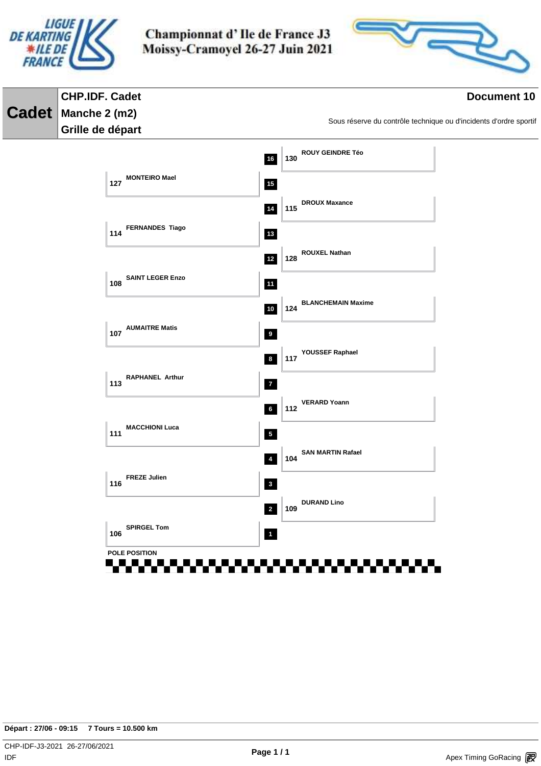



#### **CHP.IDF. Cadet Document 10 Cadet Manche 2 (m2)** Sous réserve du contrôle technique ou d'incidents d'ordre sportif **Grille de départ ROUY GEINDRE Téo 16 130 127 MONTEIRO Mael 15 DROUX Maxance 14 115 FERNANDES Tiago 13 114 ROUXEL Nathan 12 128 SAINT LEGER Enzo 108 11 BLANCHEMAIN Maxime 10 124 107 AUMAITRE Matis 9 YOUSSEF Raphael 8 117 113 RAPHANEL Arthur 7 VERARD Yoann 6 112 MACCHIONI Luca 111 5 SAN MARTIN Rafael 4 104 FREZE Julien 116 3 DURAND Lino 2 109 SPIRGEL Tom 106 POLE POSITION**55555555 <u>a matang pang</u> . . . . . . .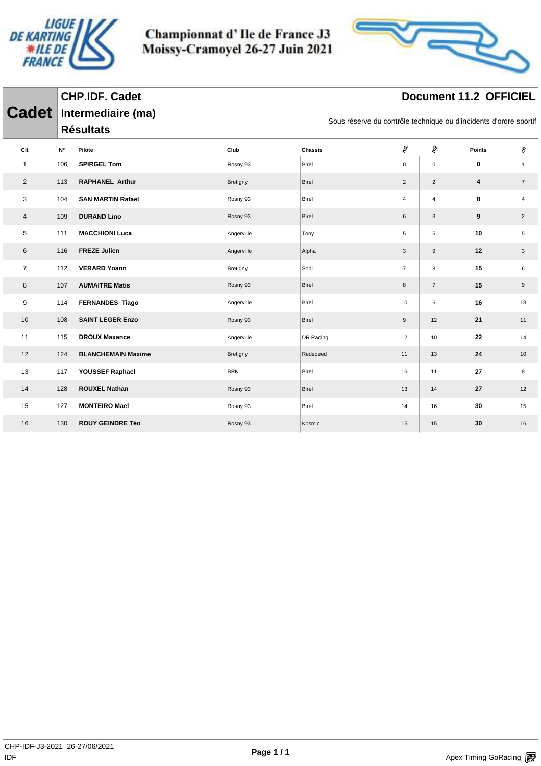

**Cadet Intermediaire (ma)**

**CHP.IDF. Cadet**

Championnat d'Ile de France J3 Moissy-Cramoyel 26-27 Juin 2021



### **Document 11.2 OFFICIEL**

|                |     | <b>Résultats</b>          |            |           |                |                     |        |                |
|----------------|-----|---------------------------|------------|-----------|----------------|---------------------|--------|----------------|
| Clt            | N°  | Pilote                    | Club       | Chassis   | ξq             | $\hat{\varepsilon}$ | Points | Ş.             |
| $\mathbf{1}$   | 106 | <b>SPIRGEL Tom</b>        | Rosny 93   | Birel     | $\mathbf 0$    | $\pmb{0}$           | 0      | $\mathbf{1}$   |
| $\overline{2}$ | 113 | <b>RAPHANEL Arthur</b>    | Bretigny   | Birel     | $\overline{2}$ | $\overline{2}$      | 4      | $\overline{7}$ |
| 3              | 104 | <b>SAN MARTIN Rafael</b>  | Rosny 93   | Birel     | $\overline{4}$ | $\overline{4}$      | 8      | 4              |
| $\overline{4}$ | 109 | <b>DURAND Lino</b>        | Rosny 93   | Birel     | 6              | 3                   | 9      | $\overline{2}$ |
| 5              | 111 | <b>MACCHIONI Luca</b>     | Angerville | Tony      | 5              | 5                   | 10     | 5              |
| 6              | 116 | <b>FREZE Julien</b>       | Angerville | Alpha     | $\mathbf{3}$   | $\boldsymbol{9}$    | 12     | $\mathbf{3}$   |
| $\overline{7}$ | 112 | <b>VERARD Yoann</b>       | Bretigny   | Sodi      | $\overline{7}$ | 8                   | 15     | 6              |
| 8              | 107 | <b>AUMAITRE Matis</b>     | Rosny 93   | Birel     | 8              | $\overline{7}$      | 15     | 9              |
| 9              | 114 | <b>FERNANDES Tiago</b>    | Angerville | Birel     | 10             | 6                   | 16     | 13             |
| 10             | 108 | <b>SAINT LEGER Enzo</b>   | Rosny 93   | Birel     | $9\,$          | 12                  | 21     | 11             |
| 11             | 115 | <b>DROUX Maxance</b>      | Angerville | DR Racing | 12             | 10                  | 22     | 14             |
| 12             | 124 | <b>BLANCHEMAIN Maxime</b> | Bretigny   | Redspeed  | 11             | 13                  | 24     | 10             |
| 13             | 117 | YOUSSEF Raphael           | <b>BRK</b> | Birel     | 16             | 11                  | 27     | 8              |
| 14             | 128 | <b>ROUXEL Nathan</b>      | Rosny 93   | Birel     | 13             | 14                  | 27     | 12             |
| 15             | 127 | <b>MONTEIRO Mael</b>      | Rosny 93   | Birel     | 14             | 16                  | 30     | 15             |
| 16             | 130 | <b>ROUY GEINDRE Téo</b>   | Rosny 93   | Kosmic    | 15             | 15                  | 30     | 16             |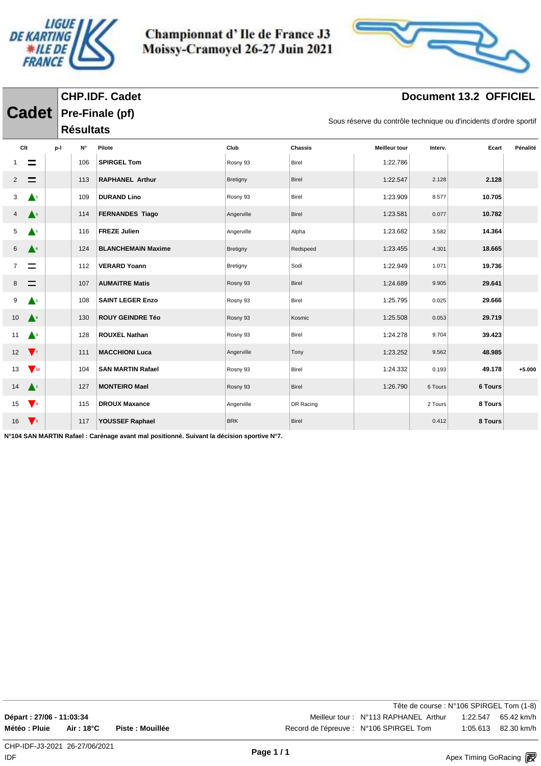

**Cadet Pre-Finale (pf)**

**CHP.IDF. Cadet**

Championnat d'Ile de France J3 Moissy-Cramoyel 26-27 Juin 2021



### **Document 13.2 OFFICIEL**

| Sous réserve du contrôle technique ou d'incidents d'ordre sportif |  |  |
|-------------------------------------------------------------------|--|--|
|                                                                   |  |  |

|     |                                    |     | <b>Résultats</b> |                           |            |              |                      |         |         |          |
|-----|------------------------------------|-----|------------------|---------------------------|------------|--------------|----------------------|---------|---------|----------|
| Clt |                                    | p-l | N۰               | Pilote                    | Club       | Chassis      | <b>Meilleur tour</b> | Interv. | Ecart   | Pénalité |
|     | $\equiv$                           |     | 106              | <b>SPIRGEL Tom</b>        | Rosny 93   | Birel        | 1:22.786             |         |         |          |
| 2   | $\equiv$                           |     | 113              | <b>RAPHANEL Arthur</b>    | Bretigny   | Birel        | 1:22.547             | 2.128   | 2.128   |          |
| 3   | $\blacktriangle^1$                 |     | 109              | <b>DURAND Lino</b>        | Rosny 93   | Birel        | 1:23.909             | 8.577   | 10.705  |          |
| 4   | $\triangle^5$                      |     | 114              | <b>FERNANDES Tiago</b>    | Angerville | Birel        | 1:23.581             | 0.077   | 10.782  |          |
| 5   | ▲                                  |     | 116              | <b>FREZE Julien</b>       | Angerville | Alpha        | 1:23.682             | 3.582   | 14.364  |          |
| 6   | $\triangle^6$                      |     | 124              | <b>BLANCHEMAIN Maxime</b> | Bretigny   | Redspeed     | 1:23.455             | 4.301   | 18.665  |          |
| 7   |                                    |     | 112              | <b>VERARD Yoann</b>       | Bretigny   | Sodi         | 1:22.949             | 1.071   | 19.736  |          |
| 8   | $\equiv$                           |     | 107              | <b>AUMAITRE Matis</b>     | Rosny 93   | Birel        | 1:24.689             | 9.905   | 29.641  |          |
| 9   | ▲                                  |     | 108              | <b>SAINT LEGER Enzo</b>   | Rosny 93   | Birel        | 1:25.795             | 0.025   | 29.666  |          |
| 10  | $\triangle^6$                      |     | 130              | <b>ROUY GEINDRE Téo</b>   | Rosny 93   | Kosmic       | 1:25.508             | 0.053   | 29.719  |          |
| 11  | $\triangle^3$                      |     | 128              | <b>ROUXEL Nathan</b>      | Rosny 93   | Birel        | 1:24.278             | 9.704   | 39.423  |          |
| 12  | $\sqrt{7}$                         |     | 111              | <b>MACCHIONI Luca</b>     | Angerville | Tony         | 1:23.252             | 9.562   | 48.985  |          |
| 13  | $\blacktriangledown$ <sub>10</sub> |     | 104              | <b>SAN MARTIN Rafael</b>  | Rosny 93   | Birel        | 1:24.332             | 0.193   | 49.178  | $+5.000$ |
| 14  | $\blacktriangle^+$                 |     | 127              | <b>MONTEIRO Mael</b>      | Rosny 93   | Birel        | 1:26.790             | 6 Tours | 6 Tours |          |
| 15  | $\sqrt{4}$                         |     | 115              | <b>DROUX Maxance</b>      | Angerville | DR Racing    |                      | 2 Tours | 8 Tours |          |
| 16  | $\sqrt{3}$                         |     | 117              | YOUSSEF Raphael           | <b>BRK</b> | <b>Birel</b> |                      | 0.412   | 8 Tours |          |

**N°104 SAN MARTIN Rafael : Carénage avant mal positionné. Suivant la décision sportive N°7.**

Tête de course : N°106 SPIRGEL Tom (1-8) **Départ : 27/06 - 11:03:34** Meilleur tour : N°113 RAPHANEL Arthur 1:22.547 65.42 km/h **Météo : Pluie Air : 18°C Piste : Mouillée** Record de l'épreuve : N°106 SPIRGEL Tom 1:05.613 82.30 km/h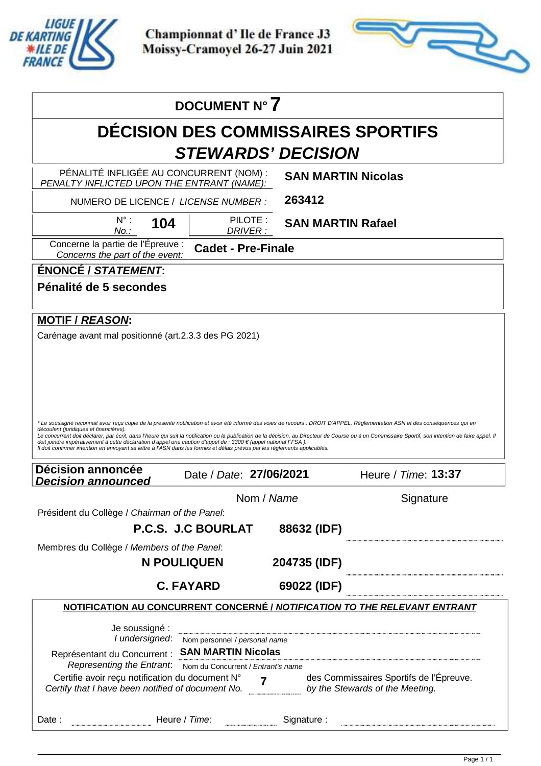

Apex Timing - timing solutions and services https://www.apex-timing.com/

Championnat d'Ile de France J3 Moissy-Cramoyel 26-27 Juin 2021



|                                                                                                                                                                                                                                                                                                                                                                                                                                                                          | DOCUMENT N° 7                             |                           |                                                                                                                                                                                                      |
|--------------------------------------------------------------------------------------------------------------------------------------------------------------------------------------------------------------------------------------------------------------------------------------------------------------------------------------------------------------------------------------------------------------------------------------------------------------------------|-------------------------------------------|---------------------------|------------------------------------------------------------------------------------------------------------------------------------------------------------------------------------------------------|
|                                                                                                                                                                                                                                                                                                                                                                                                                                                                          | <b>DECISION DES COMMISSAIRES SPORTIFS</b> |                           |                                                                                                                                                                                                      |
|                                                                                                                                                                                                                                                                                                                                                                                                                                                                          | <b>STEWARDS' DECISION</b>                 |                           |                                                                                                                                                                                                      |
| PÉNALITÉ INFLIGÉE AU CONCURRENT (NOM) :<br>PENALTY INFLICTED UPON THE ENTRANT (NAME):                                                                                                                                                                                                                                                                                                                                                                                    |                                           | <b>SAN MARTIN Nicolas</b> |                                                                                                                                                                                                      |
| NUMERO DE LICENCE / LICENSE NUMBER :                                                                                                                                                                                                                                                                                                                                                                                                                                     |                                           | 263412                    |                                                                                                                                                                                                      |
| $N^{\circ}$ :<br>104<br>No.:                                                                                                                                                                                                                                                                                                                                                                                                                                             | PILOTE:<br>DRIVER:                        | <b>SAN MARTIN Rafael</b>  |                                                                                                                                                                                                      |
| Concerne la partie de l'Épreuve :<br>Concerns the part of the event:                                                                                                                                                                                                                                                                                                                                                                                                     | <b>Cadet - Pre-Finale</b>                 |                           |                                                                                                                                                                                                      |
| <b>ÉNONCÉ / STATEMENT:</b>                                                                                                                                                                                                                                                                                                                                                                                                                                               |                                           |                           |                                                                                                                                                                                                      |
| Pénalité de 5 secondes                                                                                                                                                                                                                                                                                                                                                                                                                                                   |                                           |                           |                                                                                                                                                                                                      |
| <b>MOTIF / REASON:</b>                                                                                                                                                                                                                                                                                                                                                                                                                                                   |                                           |                           |                                                                                                                                                                                                      |
| Carénage avant mal positionné (art.2.3.3 des PG 2021)                                                                                                                                                                                                                                                                                                                                                                                                                    |                                           |                           |                                                                                                                                                                                                      |
|                                                                                                                                                                                                                                                                                                                                                                                                                                                                          |                                           |                           |                                                                                                                                                                                                      |
|                                                                                                                                                                                                                                                                                                                                                                                                                                                                          |                                           |                           |                                                                                                                                                                                                      |
|                                                                                                                                                                                                                                                                                                                                                                                                                                                                          |                                           |                           |                                                                                                                                                                                                      |
|                                                                                                                                                                                                                                                                                                                                                                                                                                                                          |                                           |                           |                                                                                                                                                                                                      |
|                                                                                                                                                                                                                                                                                                                                                                                                                                                                          |                                           |                           |                                                                                                                                                                                                      |
| * Le soussigné reconnait avoir reçu copie de la présente notification et avoir été informé des voies de recours : DROIT D'APPEL, Réglementation ASN et des conséquences qui en<br>découlent (juridiques et financières).<br>doit joindre impérativement à cette déclaration d'appel une caution d'appel de : 3300 € (appel national FFSA).<br>Il doit confirmer intention en envoyant sa lettre à l'ASN dans les formes et délais prévus par les règlements applicables. |                                           |                           | Le concurrent doit déclarer, par écrit, dans l'heure qui suit la notification ou la publication de la décision, au Directeur de Course ou à un Commissaire Sportif, son intention de faire appel. Il |
| <b>Décision annoncée</b><br><i><b>Decision announced</b></i>                                                                                                                                                                                                                                                                                                                                                                                                             | Date / Date: 27/06/2021                   |                           | Heure / Time: 13:37                                                                                                                                                                                  |
|                                                                                                                                                                                                                                                                                                                                                                                                                                                                          | Nom / Name                                |                           | Signature                                                                                                                                                                                            |
| Président du Collège / Chairman of the Panel:                                                                                                                                                                                                                                                                                                                                                                                                                            |                                           |                           |                                                                                                                                                                                                      |
|                                                                                                                                                                                                                                                                                                                                                                                                                                                                          | <b>P.C.S. J.C BOURLAT</b>                 | 88632 (IDF)               |                                                                                                                                                                                                      |
| Membres du Collège / Members of the Panel:                                                                                                                                                                                                                                                                                                                                                                                                                               | <b>N POULIQUEN</b>                        | 204735 (IDF)              |                                                                                                                                                                                                      |
|                                                                                                                                                                                                                                                                                                                                                                                                                                                                          | <b>C. FAYARD</b>                          | 69022 (IDF)               |                                                                                                                                                                                                      |
|                                                                                                                                                                                                                                                                                                                                                                                                                                                                          |                                           |                           | <b>NOTIFICATION AU CONCURRENT CONCERNÉ / NOTIFICATION TO THE RELEVANT ENTRANT</b>                                                                                                                    |
|                                                                                                                                                                                                                                                                                                                                                                                                                                                                          |                                           |                           |                                                                                                                                                                                                      |
| Je soussigné :<br>I undersigned:                                                                                                                                                                                                                                                                                                                                                                                                                                         | Nom personnel / personal name             |                           | .<br>In the component component component component component component component and component component component                                                                                  |
| Représentant du Concurrent : SAN MARTIN Nicolas                                                                                                                                                                                                                                                                                                                                                                                                                          |                                           |                           |                                                                                                                                                                                                      |
| Representing the Entrant.                                                                                                                                                                                                                                                                                                                                                                                                                                                | Nom du Concurrent / Entrant's name        |                           | des Commissaires Sportifs de l'Épreuve.                                                                                                                                                              |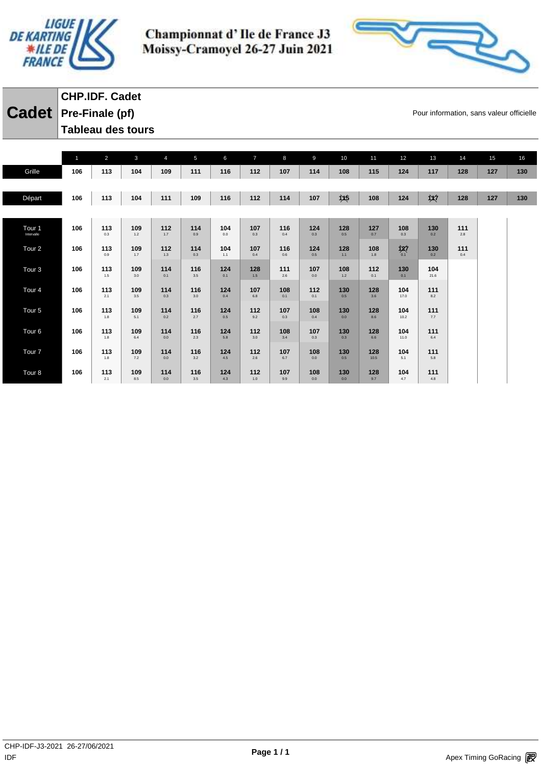



### **Cadet** Pre-Finale (pf) **Cadet Pre-Finale (pf) CHP.IDF. Cadet Tableau des tours**

|                                 | $\mathbf{1}$ | $\overline{2}$ | $\mathbf{3}$ | $\overline{4}$ | 5          | 6          | $\overline{7}$ | 8          | $\overline{9}$ | 10                 | 11          | 12          | 13             | 14         | 15  | 16  |
|---------------------------------|--------------|----------------|--------------|----------------|------------|------------|----------------|------------|----------------|--------------------|-------------|-------------|----------------|------------|-----|-----|
| Grille                          | 106          | 113            | 104          | 109            | 111        | 116        | 112            | 107        | 114            | 108                | 115         | 124         | 117            | 128        | 127 | 130 |
|                                 |              |                |              |                |            |            |                |            |                |                    |             |             |                |            |     |     |
| Départ                          | 106          | 113            | 104          | 111            | 109        | 116        | 112            | 114        | 107            | $\dot{1}$ $\chi$ 5 | 108         | 124         | 议              | 128        | 127 | 130 |
|                                 |              |                |              |                |            |            |                |            |                |                    |             |             |                |            |     |     |
| Tour <sub>1</sub><br>Intervalle | 106          | 113<br>0.3     | 109<br>1.2   | 112<br>1.7     | 114<br>0.9 | 104<br>0.0 | 107<br>0.3     | 116<br>0.4 | 124<br>0.3     | 128<br>0.5         | 127<br>0.7  | 108<br>0.3  | 130<br>0.2     | 111<br>2.8 |     |     |
| Tour <sub>2</sub>               | 106          | 113<br>0.9     | 109<br>1.7   | 112<br>1.3     | 114<br>0.3 | 104<br>1.1 | 107<br>0.4     | 116<br>0.6 | 124<br>0.5     | 128<br>1.1         | 108<br>1.8  | 汝<br>0.1    | 130<br>0.2     | 111<br>0.4 |     |     |
| Tour <sub>3</sub>               | 106          | 113<br>1.5     | 109<br>3.0   | 114<br>0.1     | 116<br>3.5 | 124<br>0.1 | 128<br>1.5     | 111<br>2.6 | 107<br>0.0     | 108<br>1.2         | 112<br>0.1  | 130<br>0.1  | 104<br>21.6    |            |     |     |
| Tour <sub>4</sub>               | 106          | 113<br>2.1     | 109<br>3.5   | 114<br>0.3     | 116<br>3.0 | 124<br>0.4 | 107<br>6.8     | 108<br>0.1 | 112<br>0.1     | 130<br>0.5         | 128<br>3.6  | 104<br>17.0 | 111<br>$8.2\,$ |            |     |     |
| Tour <sub>5</sub>               | 106          | 113<br>1.8     | 109<br>5.1   | 114<br>0.2     | 116<br>2.7 | 124<br>0.5 | 112<br>9.2     | 107<br>0.3 | 108<br>0.4     | 130<br>0.0         | 128<br>8.6  | 104<br>10.2 | 111<br>$7.7\,$ |            |     |     |
| Tour <sub>6</sub>               | 106          | 113<br>1.8     | 109<br>6.4   | 114<br>0.0     | 116<br>2.3 | 124<br>5.8 | 112<br>3.0     | 108<br>3.4 | 107<br>0.3     | 130<br>0.3         | 128<br>6.6  | 104<br>11.0 | 111<br>6.4     |            |     |     |
| Tour <sub>7</sub>               | 106          | 113<br>1.8     | 109<br>7.2   | 114<br>0.0     | 116<br>3.2 | 124<br>4.5 | 112<br>2.6     | 107<br>6.7 | 108<br>0.0     | 130<br>0.5         | 128<br>10.5 | 104<br>5.1  | 111<br>5.8     |            |     |     |
| Tour <sub>8</sub>               | 106          | 113<br>2.1     | 109<br>8.5   | 114<br>0.0     | 116<br>3.5 | 124<br>4.3 | 112<br>1.0     | 107<br>9.9 | 108<br>0.0     | 130<br>0.0         | 128<br>9.7  | 104<br>4.7  | 111<br>4.8     |            |     |     |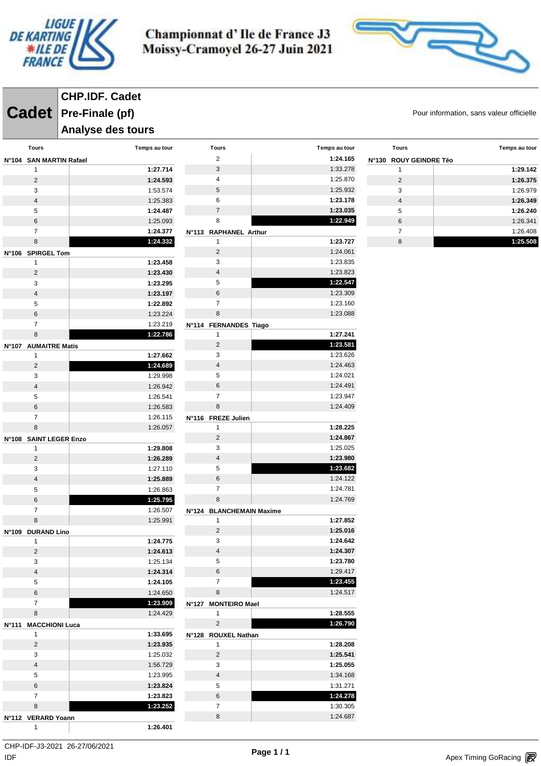



**Cadet** Pre-Finale (pf) **Cadet Pre-Finale (pf) CHP.IDF. Cadet**

#### **Analyse des tours**

| <b>Tours</b>                 | Temps au tour        | <b>Tours</b>                  | Temps au tour        |
|------------------------------|----------------------|-------------------------------|----------------------|
| N°104 SAN MARTIN Rafael      |                      | $\overline{2}$                | 1:24.165             |
| 1                            | 1:27.714             | 3                             | 1:33.278             |
| $\overline{2}$               | 1:24.593             | 4                             | 1:25.870             |
| 3                            | 1:53.574             | 5                             | 1:25.932             |
| $\overline{4}$               | 1:25.383             | 6                             | 1:23.178             |
| 5                            | 1:24.487             | $\overline{7}$                | 1:23.035             |
| 6                            | 1:25.093             | 8                             | 1:22.949             |
| $\overline{7}$               | 1:24.377             | N°113 RAPHANEL Arthur         |                      |
| 8                            | 1:24.332             | 1                             | 1:23.727             |
| N°106 SPIRGEL Tom            |                      | $\overline{2}$                | 1:24.061             |
| 1                            | 1:23.458             | 3                             | 1:23.835             |
| $\overline{2}$               | 1:23.430             | $\overline{4}$                | 1:23.823             |
| 3                            | 1:23.295             | 5                             | 1:22.547             |
| $\overline{4}$               | 1:23.197             | 6                             | 1:23.309             |
| 5                            | 1:22.892             | $\overline{7}$                | 1:23.160             |
| 6                            | 1:23.224             | 8                             | 1:23.088             |
| $\overline{7}$               | 1:23.219             | N°114 FERNANDES Tiago         |                      |
| 8                            | 1:22.786             | 1                             | 1:27.241             |
| N°107 AUMAITRE Matis         |                      | $\overline{2}$                | 1:23.581             |
| 1                            | 1:27.662             | 3                             | 1:23.626             |
| $\overline{2}$               | 1:24.689             | $\overline{4}$                | 1:24.463             |
| 3                            | 1:29.998             | 5                             | 1:24.021             |
| $\overline{\mathbf{4}}$      | 1:26.942             | $6\phantom{1}$                | 1:24.491             |
| 5                            | 1:26.541             | $\overline{7}$                | 1:23.947             |
| 6                            | 1:26.583             | 8                             | 1:24.409             |
| $\overline{7}$               | 1:26.115             | N°116 FREZE Julien            |                      |
| 8                            | 1:26.057             | 1                             | 1:28.225             |
| N°108 SAINT LEGER Enzo       |                      | $\overline{2}$                | 1:24.867             |
| 1                            | 1:29.808             | 3                             | 1:25.025             |
| $\overline{2}$               | 1:26.289             | $\overline{4}$                | 1:23.980             |
| 3                            | 1:27.110             | 5<br>6                        | 1:23.682<br>1:24.122 |
| $\overline{\mathbf{4}}$<br>5 | 1:25.889<br>1:26.863 | $\overline{7}$                | 1:24.781             |
| 6                            | 1:25.795             | 8                             | 1:24.769             |
| 7                            | 1:26.507             |                               |                      |
| 8                            | 1:25.991             | N°124 BLANCHEMAIN Maxime<br>1 | 1:27.852             |
|                              |                      | $\overline{2}$                | 1:25.016             |
| N°109 DURAND Lino<br>1       | 1:24.775             | 3                             | 1:24.642             |
| 2                            | 1:24.613             | 4                             | 1:24.307             |
| 3                            | 1:25.134             | 5                             | 1:23.780             |
| $\overline{4}$               | 1:24.314             | 6                             | 1:29.417             |
| 5                            | 1:24.105             | $\overline{7}$                | 1:23.455             |
| $\,6\,$                      | 1:24.650             | 8                             | 1:24.517             |
| 7                            | 1:23.909             | N°127 MONTEIRO Mael           |                      |
| 8                            | 1:24.429             | 1                             | 1:28.555             |
| N°111 MACCHIONI Luca         |                      | $\overline{c}$                | 1:26.790             |
| 1                            | 1:33.695             | N°128 ROUXEL Nathan           |                      |
| $\overline{c}$               | 1:23.935             | 1                             | 1:28.208             |
| 3                            | 1:25.032             | $\overline{2}$                | 1:25.541             |
| $\overline{4}$               | 1:56.729             | 3                             | 1:25.055             |
| 5                            | 1:23.995             | $\overline{4}$                | 1:34.168             |
| $\,6$                        | 1:23.824             | 5                             | 1:31.271             |
| 7                            | 1:23.823             | 6                             | 1:24.278             |
| 8                            | 1:23.252             | $\overline{7}$                | 1:30.305             |
| N°112 VERARD Yoann           |                      | 8                             | 1:24.687             |
| 1                            | 1:26.401             |                               |                      |
|                              |                      |                               |                      |

| <b>Tours</b>           | Temps au tour |
|------------------------|---------------|
| N°130 ROUY GEINDRE Téo |               |
| 1                      | 1:29.142      |
| 2                      | 1:26.375      |
| 3                      | 1:26.979      |
| $\overline{4}$         | 1:26.349      |
| 5                      | 1:26.240      |
| 6                      | 1:26.341      |
| 7                      | 1:26.408      |
| 8                      | 1:25.508      |

 $\mathsf{IDF}$ CHP-IDF-J3-2021 26-27/06/2021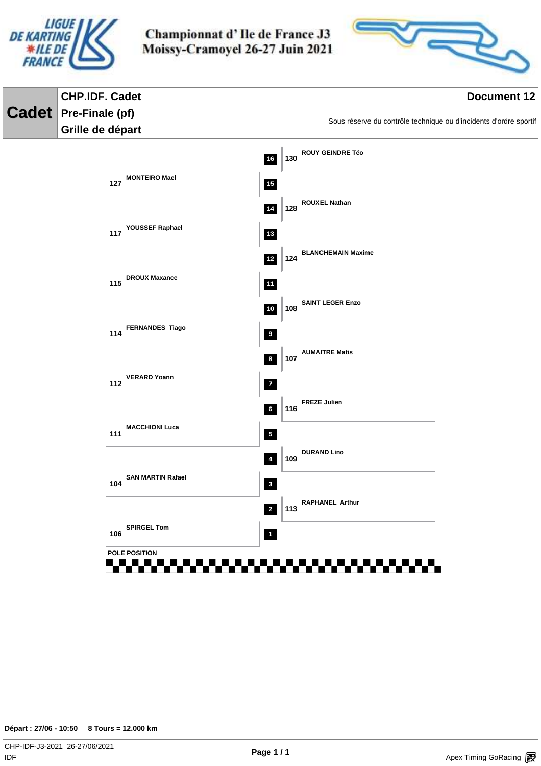



#### **CHP.IDF. Cadet Document 12 Cadet Pre-Finale (pf)** Sous réserve du contrôle technique ou d'incidents d'ordre sportif **Grille de départ ROUY GEINDRE Téo 16 130 127 MONTEIRO Mael 15 ROUXEL Nathan 14 128 YOUSSEF Raphael 13 117 BLANCHEMAIN Maxime 12 124 DROUX Maxance 115 11 SAINT LEGER Enzo 10 108 114 FERNANDES Tiago 9 AUMAITRE Matis 8 107 112 VERARD Yoann 7 FREZE Julien 6 116 MACCHIONI Luca 111 5 DURAND Lino 4 109 SAN MARTIN Rafael 104 3 RAPHANEL Arthur 2 113 SPIRGEL Tom 106 POLE POSITION**<u>. . . . . . . . .</u> **THE REA** . . . . . . .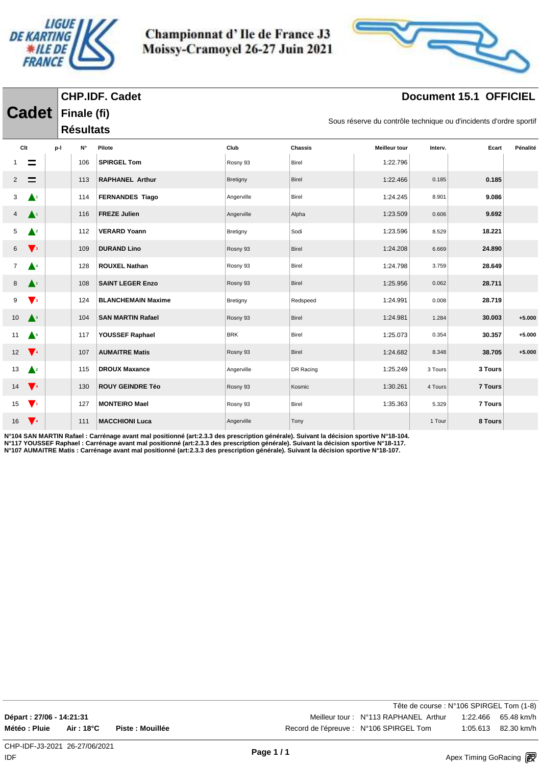



### **Document 15.1 OFFICIEL**

|                 |                           |     |                                 | <b>CHP.IDF. Cadet</b>     |            |                                                                   |                      | Document 15.1 OFFICIEL |         |          |  |  |  |
|-----------------|---------------------------|-----|---------------------------------|---------------------------|------------|-------------------------------------------------------------------|----------------------|------------------------|---------|----------|--|--|--|
|                 | <b>Cadet</b>              |     | Finale (fi)<br><b>Résultats</b> |                           |            | Sous réserve du contrôle technique ou d'incidents d'ordre sportif |                      |                        |         |          |  |  |  |
|                 | Clt                       | p-l | N°                              | Pilote                    | Club       | <b>Chassis</b>                                                    | <b>Meilleur tour</b> | Interv.                | Ecart   | Pénalité |  |  |  |
|                 |                           |     | 106                             | <b>SPIRGEL Tom</b>        | Rosny 93   | Birel                                                             | 1:22.796             |                        |         |          |  |  |  |
|                 |                           |     | 113                             | <b>RAPHANEL Arthur</b>    | Bretigny   | Birel                                                             | 1:22.466             | 0.185                  | 0.185   |          |  |  |  |
| 3               | $\blacktriangle^1$        |     | 114                             | <b>FERNANDES Tiago</b>    | Angerville | Birel                                                             | 1:24.245             | 8.901                  | 9.086   |          |  |  |  |
|                 | $\blacktriangle^1$        |     | 116                             | <b>FREZE Julien</b>       | Angerville | Alpha                                                             | 1:23.509             | 0.606                  | 9.692   |          |  |  |  |
| 5.              | $\triangle^2$             |     | 112                             | <b>VERARD Yoann</b>       | Bretigny   | Sodi                                                              | 1:23.596             | 8.529                  | 18.221  |          |  |  |  |
| 6               | $\sqrt{3}$                |     | 109                             | <b>DURAND Lino</b>        | Rosny 93   | Birel                                                             | 1:24.208             | 6.669                  | 24.890  |          |  |  |  |
| 7               | $\triangle^4$             |     | 128                             | <b>ROUXEL Nathan</b>      | Rosny 93   | Birel                                                             | 1:24.798             | 3.759                  | 28.649  |          |  |  |  |
| 8               | $\blacktriangle^1$        |     | 108                             | <b>SAINT LEGER Enzo</b>   | Rosny 93   | Birel                                                             | 1:25.956             | 0.062                  | 28.711  |          |  |  |  |
| 9               | $\mathbf{V}$ <sub>3</sub> |     | 124                             | <b>BLANCHEMAIN Maxime</b> | Bretigny   | Redspeed                                                          | 1:24.991             | 0.008                  | 28.719  |          |  |  |  |
| 10 <sup>°</sup> | $\mathbf{A}^3$            |     | 104                             | <b>SAN MARTIN Rafael</b>  | Rosny 93   | Birel                                                             | 1:24.981             | 1.284                  | 30.003  | $+5.000$ |  |  |  |
| 11              | $\triangle^5$             |     | 117                             | YOUSSEF Raphael           | <b>BRK</b> | Birel                                                             | 1:25.073             | 0.354                  | 30.357  | $+5.000$ |  |  |  |
| 12              | $\sqrt{4}$                |     | 107                             | <b>AUMAITRE Matis</b>     | Rosny 93   | Birel                                                             | 1:24.682             | 8.348                  | 38.705  | $+5.000$ |  |  |  |
| 13              | $\triangle^2$             |     | 115                             | <b>DROUX Maxance</b>      | Angerville | DR Racing                                                         | 1:25.249             | 3 Tours                | 3 Tours |          |  |  |  |

14 **74** 130 **ROUY GEINDRE Téo** Rosny 93 Kosmic 1:30.261 4 Tours 7 Tours 15 **<sup>1</sup>** 127 **MONTEIRO Mael** Rosny 93 Birel 1:35.363 5.329 **7 Tours** 16 **111 MACCHIONI Luca** Angerville Tony 1 Angerville **Tony** 1 Tour 1 Tour **8 Tours** 

**N°117 YOUSSEF Raphael : Carrénage avant mal positionné (art:2.3.3 des prescription générale). Suivant la décision sportive N°18-117. N°107 AUMAITRE Matis : Carrénage avant mal positionné (art:2.3.3 des prescription générale). Suivant la décision sportive N°18-107.**

**N°104 SAN MARTIN Rafael : Carrénage avant mal positionné (art:2.3.3 des prescription générale). Suivant la décision sportive N°18-104.**

|                           |            |                 | Tête de course : N°106 SPIRGEL Tom (1-8) |                     |
|---------------------------|------------|-----------------|------------------------------------------|---------------------|
| Départ : 27/06 - 14:21:31 |            |                 | Meilleur tour: N°113 RAPHANEL Arthur     |                     |
| Météo : Pluie             | Air : 18°C | Piste: Mouillée | Record de l'épreuve : N°106 SPIRGEL Tom  | 1:05.613 82.30 km/h |
|                           |            |                 |                                          |                     |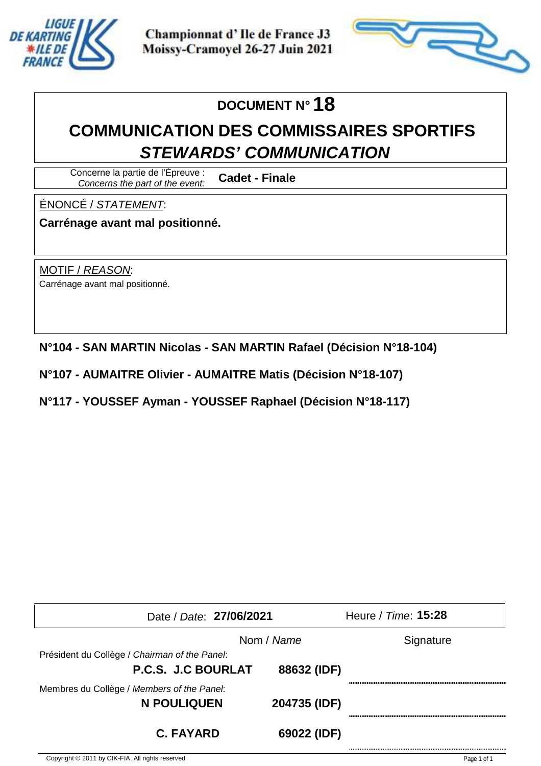



# **DOCUMENT N° 18**

# **COMMUNICATION DES COMMISSAIRES SPORTIFS STEWARDS' COMMUNICATION**

Concerne la partie de l'Épreuve : Concerns the part of the event: **Cadet - Finale**

ÉNONCÉ / STATEMENT:

**Carrénage avant mal positionné.**

MOTIF / REASON: Carrénage avant mal positionné.

**N°104 - SAN MARTIN Nicolas - SAN MARTIN Rafael (Décision N°18-104)**

**N°107 - AUMAITRE Olivier - AUMAITRE Matis (Décision N°18-107)**

**N°117 - YOUSSEF Ayman - YOUSSEF Raphael (Décision N°18-117)**

| Date / Date: 27/06/2021                       |              | Heure / Time: 15:28 |
|-----------------------------------------------|--------------|---------------------|
|                                               | Nom / Name   | Signature           |
| Président du Collège / Chairman of the Panel: |              |                     |
| P.C.S. J.C BOURLAT                            | 88632 (IDF)  |                     |
| Membres du Collège / Members of the Panel:    |              |                     |
| <b>N POULIQUEN</b>                            | 204735 (IDF) |                     |
| <b>C. FAYARD</b>                              | 69022 (IDF)  |                     |
|                                               |              |                     |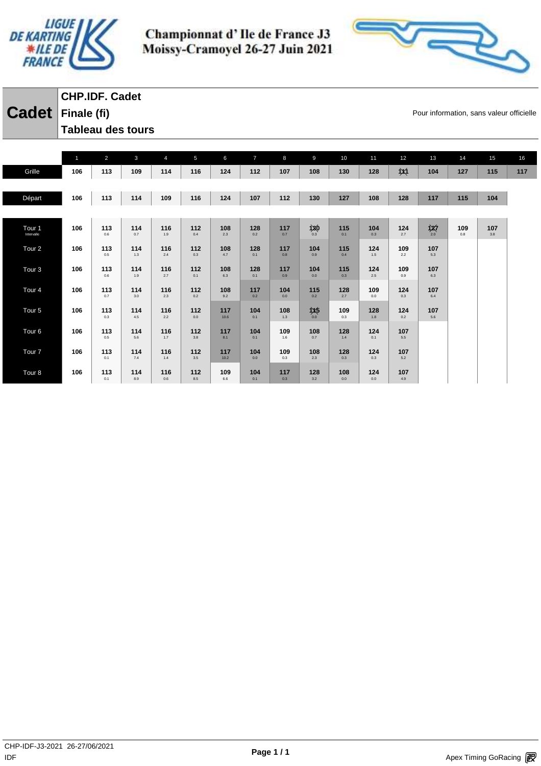



**Cadet** Finale (fi) **Finale (fi) Cadet Finale (fi) CHP.IDF. Cadet Tableau des tours** 

|                   | $\mathbf{1}$ | $\overline{2}$ | 3          | $\overline{4}$ | 5          | 6          | $\overline{7}$ | 8          | 9          | 10         | 11         | 12         | 13             | 14  | 15  | 16  |
|-------------------|--------------|----------------|------------|----------------|------------|------------|----------------|------------|------------|------------|------------|------------|----------------|-----|-----|-----|
| Grille            | 106          | 113            | 109        | 114            | 116        | 124        | 112            | 107        | 108        | 130        | 128        | $\chi_1$   | 104            | 127 | 115 | 117 |
|                   |              |                |            |                |            |            |                |            |            |            |            |            |                |     |     |     |
| Départ            | 106          | 113            | 114        | 109            | 116        | 124        | 107            | 112        | 130        | 127        | 108        | 128        | 117            | 115 | 104 |     |
|                   |              |                |            |                |            |            |                |            |            |            |            |            |                |     |     |     |
| Tour 1            | 106          | 113            | 114        | 116            | 112        | 108        | 128            | 117        | 130        | 115        | 104        | 124        |                | 109 | 107 |     |
| Intervalle        |              | 0.6            | 0.7        | 1.9            | 0.4        | 2.3        | 0.2            | 0.7        | 0.3        | 0.1        | 0.3        | 2.7        | $\frac{1}{20}$ | 0.8 | 3.8 |     |
| Tour <sub>2</sub> | 106          | 113            | 114        | 116            | 112        | 108        | 128            | 117        | 104        | 115        | 124        | 109        | 107            |     |     |     |
|                   |              | 0.5            | 1.3        | 2.4            | 0.3        | 4.7        | 0.1            | 0.8        | 0.9        | 0.4        | 1.5        | 2.2        | 5.3            |     |     |     |
| Tour <sub>3</sub> | 106          | 113<br>0.6     | 114<br>1.9 | 116<br>2.7     | 112<br>0.1 | 108<br>6.3 | 128<br>0.1     | 117<br>0.9 | 104<br>0.0 | 115<br>0.3 | 124<br>2.5 | 109<br>0.9 | 107<br>6.3     |     |     |     |
| Tour <sub>4</sub> | 106          | 113            | 114        | 116            | 112        | 108        | 117            | 104        | 115        | 128        | 109        | 124        | 107            |     |     |     |
|                   |              | 0.7            | 3.0        | 2.3            | 0.2        | 9.2        | 0.2            | 0.0        | 0.2        | 2.7        | 0.0        | 0.3        | 6.4            |     |     |     |
| Tour <sub>5</sub> | 106          | 113            | 114        | 116            | 112        | 117        | 104            | 108        | 145        | 109        | 128        | 124        | 107            |     |     |     |
|                   |              | 0.3            | 4.5        | 2.2            | 0.0        | 10.6       | 0.1            | 1.3        | 0.0        | 0.3        | 1.8        | 0.2        | 5.6            |     |     |     |
| Tour <sub>6</sub> | 106          | 113<br>0.5     | 114<br>5.6 | 116<br>1.7     | 112<br>3.8 | 117<br>8.1 | 104<br>0.1     | 109<br>1.6 | 108<br>0.7 | 128<br>1.4 | 124<br>0.1 | 107<br>5.5 |                |     |     |     |
|                   | 106          | 113            | 114        | 116            | 112        | 117        | 104            | 109        | 108        | 128        | 124        | 107        |                |     |     |     |
| Tour <sub>7</sub> |              | 0.1            | 7.4        | 1.4            | 3.5        | 10.2       | 0.0            | 0.3        | 2.3        | 0.3        | 0.3        | 5.2        |                |     |     |     |
| Tour <sub>8</sub> | 106          | 113            | 114        | 116            | 112        | 109        | 104            | 117        | 128        | 108        | 124        | 107        |                |     |     |     |
|                   |              | 0.1            | 8.9        | 0.6            | 8.5        | 6.6        | 0.1            | 0.3        | 3.2        | 0.0        | 0.0        | 4.9        |                |     |     |     |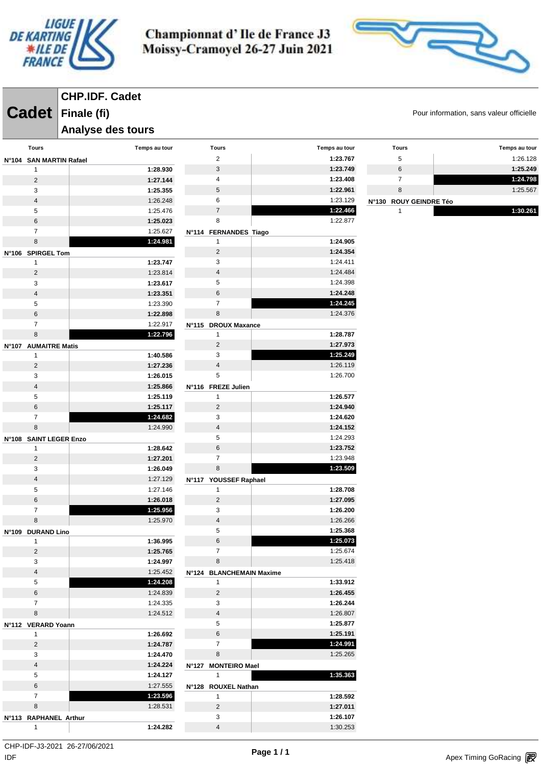



**CHP.IDF. Cadet**

#### **Analyse des tours**

| Tours                   | Temps au tour        | <b>Tours</b>             | Temps au tour        |  |
|-------------------------|----------------------|--------------------------|----------------------|--|
| N°104 SAN MARTIN Rafael |                      | 2                        | 1:23.767             |  |
| 1                       | 1:28.930             | 3                        | 1:23.749             |  |
| $\overline{2}$          | 1:27.144             | 4                        | 1:23.408             |  |
| 3                       | 1:25.355             | 5                        | 1:22.961             |  |
| 4                       | 1:26.248             | 6                        | 1:23.129<br>N°130    |  |
| 5                       | 1:25.476             | $\overline{7}$           | 1:22.466             |  |
| 6                       | 1:25.023             | 8                        | 1:22.877             |  |
| $\overline{7}$          | 1:25.627             | N°114 FERNANDES Tiago    |                      |  |
| 8                       | 1:24.981             | 1                        | 1:24.905             |  |
| N°106 SPIRGEL Tom       |                      | 2                        | 1:24.354             |  |
| 1                       | 1:23.747             | 3                        | 1:24.411             |  |
| $\overline{2}$          | 1:23.814             | 4                        | 1:24.484             |  |
| 3                       | 1:23.617             | 5                        | 1:24.398             |  |
| 4                       | 1:23.351             | 6                        | 1:24.248             |  |
| 5                       | 1:23.390             | $\overline{7}$           | 1:24.245             |  |
| 6                       | 1:22.898             | 8                        | 1:24.376             |  |
| $\overline{7}$          | 1:22.917             | N°115 DROUX Maxance      |                      |  |
| 8                       | 1:22.796             | 1                        | 1:28.787             |  |
| N°107 AUMAITRE Matis    |                      | 2                        | 1:27.973             |  |
| 1                       | 1:40.586             | 3                        | 1:25.249             |  |
| $\overline{2}$          | 1:27.236             | $\overline{4}$           | 1:26.119             |  |
| 3                       | 1:26.015             | 5                        | 1:26.700             |  |
| $\overline{\mathbf{4}}$ | 1:25.866             | N°116 FREZE Julien       |                      |  |
| 5                       | 1:25.119             | 1                        | 1:26.577             |  |
| 6                       | 1:25.117             | $\overline{2}$           | 1:24.940             |  |
| $\overline{7}$          | 1:24.682             | 3                        | 1:24.620             |  |
| 8                       | 1:24.990             | 4                        | 1:24.152             |  |
| N°108 SAINT LEGER Enzo  |                      | 5                        | 1:24.293             |  |
| 1                       | 1:28.642             | 6                        | 1:23.752             |  |
| $\overline{2}$          | 1:27.201             | 7                        | 1:23.948             |  |
| 3                       | 1:26.049             | 8                        | 1:23.509             |  |
| 4                       | 1:27.129             | N°117 YOUSSEF Raphael    |                      |  |
| 5                       | 1:27.146             | 1                        | 1:28.708             |  |
| 6                       | 1:26.018             | 2                        | 1:27.095             |  |
| 7                       | 1:25.956             | 3                        | 1:26.200             |  |
| 8                       | 1:25.970             | 4                        | 1:26.266             |  |
| N°109 DURAND Lino       |                      | 5                        | 1:25.368             |  |
| 1                       | 1:36.995             | 6                        | 1:25.073             |  |
| $\overline{c}$          | 1:25.765             | 7                        | 1:25.674             |  |
| 3                       | 1:24.997             | 8                        | 1:25.418             |  |
| 4                       | 1:25.452             | N°124 BLANCHEMAIN Maxime |                      |  |
| 5                       | 1:24.208             | 1                        | 1:33.912             |  |
| 6                       | 1:24.839             | $\overline{2}$           | 1:26.455             |  |
| $\overline{7}$          | 1:24.335             | 3                        | 1:26.244             |  |
| 8                       | 1:24.512             | 4                        | 1:26.807             |  |
| N°112 VERARD Yoann      |                      | 5                        | 1:25.877             |  |
| 1                       | 1:26.692             | $\,6$<br>$\overline{7}$  | 1:25.191             |  |
| $\overline{c}$          | 1:24.787             | $\,8\,$                  | 1:24.991<br>1:25.265 |  |
| 3                       | 1:24.470             |                          |                      |  |
| $\overline{\mathbf{4}}$ | 1:24.224             | N°127 MONTEIRO Mael      | 1:35.363             |  |
| 5<br>6                  | 1:24.127<br>1:27.555 | $\mathbf{1}$             |                      |  |
| $\overline{7}$          | 1:23.596             | N°128 ROUXEL Nathan      |                      |  |
|                         |                      | 1                        | 1:28.592             |  |
| 8                       | 1:28.531             | $\overline{2}$           | 1:27.011             |  |
| N°113 RAPHANEL Arthur   |                      | 3                        | 1:26.107             |  |
| 1                       | 1:24.282             | 4                        | 1:30.253             |  |

**Cadet** Finale (fi) **Finale (fi) Cadet Finale (fi)** 

| <b>Tours</b>           | Temps au tour |
|------------------------|---------------|
| 5                      | 1:26.128      |
| 6                      | 1:25.249      |
| 7                      | 1:24.798      |
| 8                      | 1:25.567      |
| N°130 ROUY GEINDRE Téo |               |
|                        | 1:30.261      |

 $\mathsf{IDF}$ CHP-IDF-J3-2021 26-27/06/2021